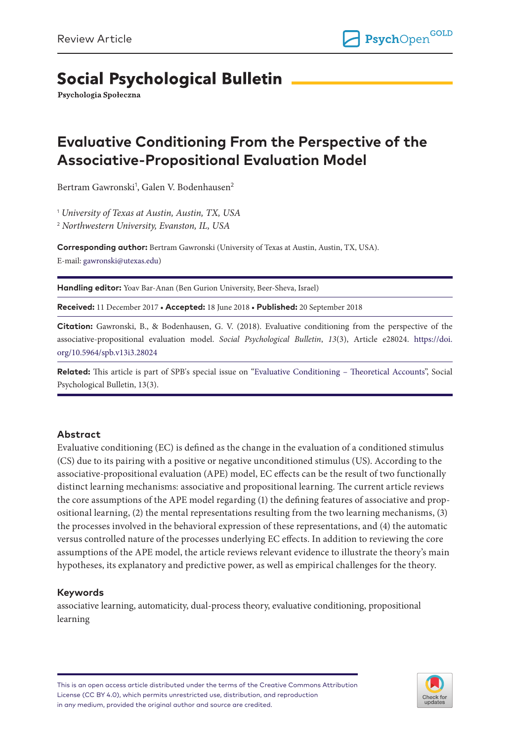# **Social Psychological Bulletin**

Psychologia Społeczna

# **Evaluative Conditioning From the Perspective of the Associative-Propositional Evaluation Model**

Bertram Gawronski<sup>1</sup>, Galen V. Bodenhausen<sup>2</sup>

1  *University of Texas at Austin, Austin, TX, USA*

2  *Northwestern University, Evanston, IL, USA*

**Corresponding author:** Bertram Gawronski (University of Texas at Austin, Austin, TX, USA). E-mail: [gawronski@utexas.edu](mailto:gawronski@utexas.edu))

**Handling editor:** Yoav Bar-Anan (Ben Gurion University, Beer-Sheva, Israel)

**Received:** 11 December 2017 • **Accepted:** 18 June 2018 • **Published:** 20 September 2018

**Citation:** Gawronski, B., & Bodenhausen, G. V. (2018). Evaluative conditioning from the perspective of the associative-propositional evaluation model. *Social Psychological Bulletin*, *13*(3), Article e28024. [https://doi.](https://doi.org/10.5964/spb.v13i3.28024) [org/10.5964/spb.v13i3.28024](https://doi.org/10.5964/spb.v13i3.28024)

**Related:** This article is part of SPB's special issue on ["Evaluative Conditioning – Theoretical Accounts"](https://spb.psychopen.eu/issue/1338/), Social Psychological Bulletin, 13(3).

#### **Abstract**

Evaluative conditioning (EC) is defined as the change in the evaluation of a conditioned stimulus (CS) due to its pairing with a positive or negative unconditioned stimulus (US). According to the associative-propositional evaluation (APE) model, EC effects can be the result of two functionally distinct learning mechanisms: associative and propositional learning. The current article reviews the core assumptions of the APE model regarding (1) the defining features of associative and propositional learning, (2) the mental representations resulting from the two learning mechanisms, (3) the processes involved in the behavioral expression of these representations, and (4) the automatic versus controlled nature of the processes underlying EC effects. In addition to reviewing the core assumptions of the APE model, the article reviews relevant evidence to illustrate the theory's main hypotheses, its explanatory and predictive power, as well as empirical challenges for the theory.

#### **Keywords**

associative learning, automaticity, dual-process theory, evaluative conditioning, propositional learning

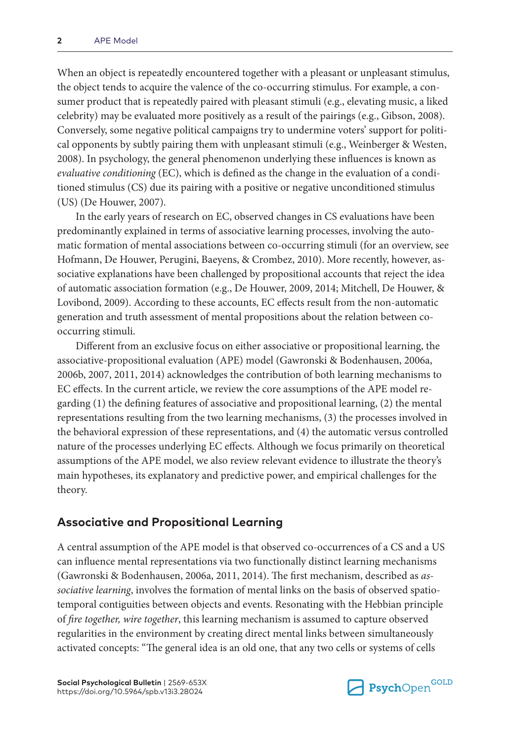When an object is repeatedly encountered together with a pleasant or unpleasant stimulus, the object tends to acquire the valence of the co-occurring stimulus. For example, a consumer product that is repeatedly paired with pleasant stimuli (e.g., elevating music, a liked celebrity) may be evaluated more positively as a result of the pairings (e.g., Gibson, 2008). Conversely, some negative political campaigns try to undermine voters' support for political opponents by subtly pairing them with unpleasant stimuli (e.g., Weinberger & Westen, 2008). In psychology, the general phenomenon underlying these influences is known as *evaluative conditioning* (EC), which is defined as the change in the evaluation of a conditioned stimulus (CS) due its pairing with a positive or negative unconditioned stimulus (US) (De Houwer, 2007).

In the early years of research on EC, observed changes in CS evaluations have been predominantly explained in terms of associative learning processes, involving the automatic formation of mental associations between co-occurring stimuli (for an overview, see Hofmann, De Houwer, Perugini, Baeyens, & Crombez, 2010). More recently, however, associative explanations have been challenged by propositional accounts that reject the idea of automatic association formation (e.g., De Houwer, 2009, 2014; Mitchell, De Houwer, & Lovibond, 2009). According to these accounts, EC effects result from the non-automatic generation and truth assessment of mental propositions about the relation between cooccurring stimuli.

Different from an exclusive focus on either associative or propositional learning, the associative-propositional evaluation (APE) model (Gawronski & Bodenhausen, 2006a, 2006b, 2007, 2011, 2014) acknowledges the contribution of both learning mechanisms to EC effects. In the current article, we review the core assumptions of the APE model regarding (1) the defining features of associative and propositional learning, (2) the mental representations resulting from the two learning mechanisms, (3) the processes involved in the behavioral expression of these representations, and (4) the automatic versus controlled nature of the processes underlying EC effects. Although we focus primarily on theoretical assumptions of the APE model, we also review relevant evidence to illustrate the theory's main hypotheses, its explanatory and predictive power, and empirical challenges for the theory.

## **Associative and Propositional Learning**

A central assumption of the APE model is that observed co-occurrences of a CS and a US can influence mental representations via two functionally distinct learning mechanisms (Gawronski & Bodenhausen, 2006a, 2011, 2014). The first mechanism, described as *associative learning*, involves the formation of mental links on the basis of observed spatiotemporal contiguities between objects and events. Resonating with the Hebbian principle of *fire together, wire together*, this learning mechanism is assumed to capture observed regularities in the environment by creating direct mental links between simultaneously activated concepts: "The general idea is an old one, that any two cells or systems of cells

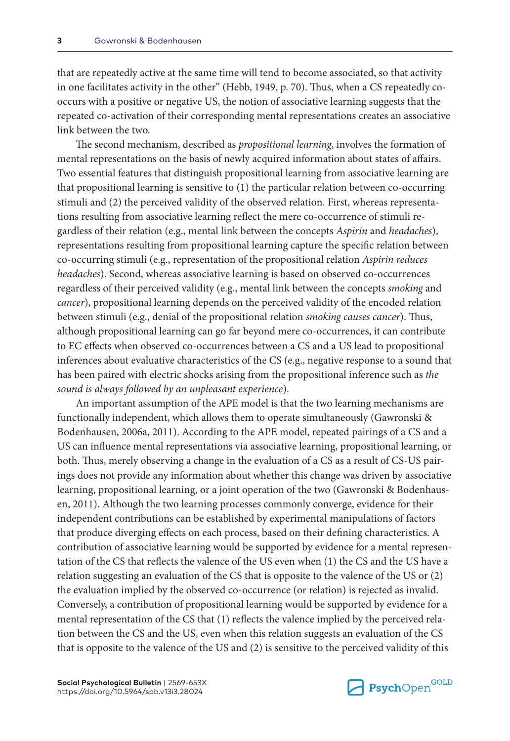that are repeatedly active at the same time will tend to become associated, so that activity in one facilitates activity in the other" (Hebb, 1949, p. 70). Thus, when a CS repeatedly cooccurs with a positive or negative US, the notion of associative learning suggests that the repeated co-activation of their corresponding mental representations creates an associative link between the two.

The second mechanism, described as *propositional learning*, involves the formation of mental representations on the basis of newly acquired information about states of affairs. Two essential features that distinguish propositional learning from associative learning are that propositional learning is sensitive to (1) the particular relation between co-occurring stimuli and (2) the perceived validity of the observed relation. First, whereas representations resulting from associative learning reflect the mere co-occurrence of stimuli regardless of their relation (e.g., mental link between the concepts *Aspirin* and *headaches*), representations resulting from propositional learning capture the specific relation between co-occurring stimuli (e.g., representation of the propositional relation *Aspirin reduces headaches*). Second, whereas associative learning is based on observed co-occurrences regardless of their perceived validity (e.g., mental link between the concepts *smoking* and *cancer*), propositional learning depends on the perceived validity of the encoded relation between stimuli (e.g., denial of the propositional relation *smoking causes cancer*). Thus, although propositional learning can go far beyond mere co-occurrences, it can contribute to EC effects when observed co-occurrences between a CS and a US lead to propositional inferences about evaluative characteristics of the CS (e.g., negative response to a sound that has been paired with electric shocks arising from the propositional inference such as *the sound is always followed by an unpleasant experience*).

An important assumption of the APE model is that the two learning mechanisms are functionally independent, which allows them to operate simultaneously (Gawronski & Bodenhausen, 2006a, 2011). According to the APE model, repeated pairings of a CS and a US can influence mental representations via associative learning, propositional learning, or both. Thus, merely observing a change in the evaluation of a CS as a result of CS-US pairings does not provide any information about whether this change was driven by associative learning, propositional learning, or a joint operation of the two (Gawronski & Bodenhausen, 2011). Although the two learning processes commonly converge, evidence for their independent contributions can be established by experimental manipulations of factors that produce diverging effects on each process, based on their defining characteristics. A contribution of associative learning would be supported by evidence for a mental representation of the CS that reflects the valence of the US even when (1) the CS and the US have a relation suggesting an evaluation of the CS that is opposite to the valence of the US or (2) the evaluation implied by the observed co-occurrence (or relation) is rejected as invalid. Conversely, a contribution of propositional learning would be supported by evidence for a mental representation of the CS that (1) reflects the valence implied by the perceived relation between the CS and the US, even when this relation suggests an evaluation of the CS that is opposite to the valence of the US and (2) is sensitive to the perceived validity of this

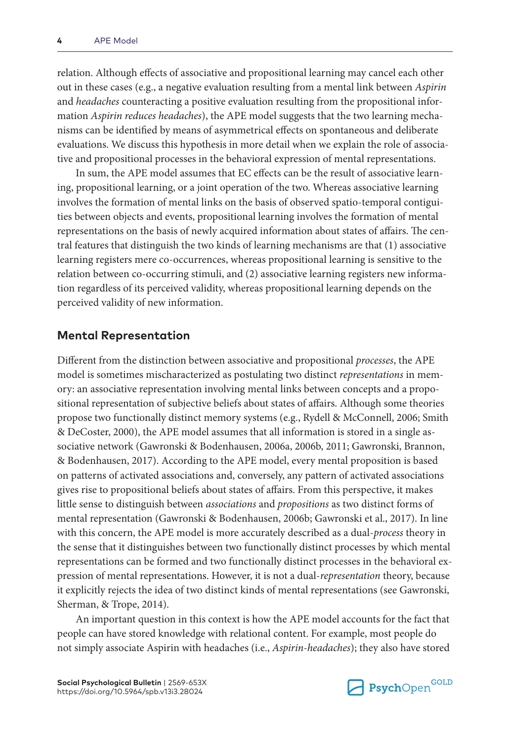relation. Although effects of associative and propositional learning may cancel each other out in these cases (e.g., a negative evaluation resulting from a mental link between *Aspirin* and *headaches* counteracting a positive evaluation resulting from the propositional information *Aspirin reduces headaches*), the APE model suggests that the two learning mechanisms can be identified by means of asymmetrical effects on spontaneous and deliberate evaluations. We discuss this hypothesis in more detail when we explain the role of associative and propositional processes in the behavioral expression of mental representations.

In sum, the APE model assumes that EC effects can be the result of associative learning, propositional learning, or a joint operation of the two. Whereas associative learning involves the formation of mental links on the basis of observed spatio-temporal contiguities between objects and events, propositional learning involves the formation of mental representations on the basis of newly acquired information about states of affairs. The central features that distinguish the two kinds of learning mechanisms are that (1) associative learning registers mere co-occurrences, whereas propositional learning is sensitive to the relation between co-occurring stimuli, and (2) associative learning registers new information regardless of its perceived validity, whereas propositional learning depends on the perceived validity of new information.

## **Mental Representation**

Different from the distinction between associative and propositional *processes*, the APE model is sometimes mischaracterized as postulating two distinct *representations* in memory: an associative representation involving mental links between concepts and a propositional representation of subjective beliefs about states of affairs. Although some theories propose two functionally distinct memory systems (e.g., Rydell & McConnell, 2006; Smith & DeCoster, 2000), the APE model assumes that all information is stored in a single associative network (Gawronski & Bodenhausen, 2006a, 2006b, 2011; Gawronski, Brannon, & Bodenhausen, 2017). According to the APE model, every mental proposition is based on patterns of activated associations and, conversely, any pattern of activated associations gives rise to propositional beliefs about states of affairs. From this perspective, it makes little sense to distinguish between *associations* and *propositions* as two distinct forms of mental representation (Gawronski & Bodenhausen, 2006b; Gawronski et al., 2017). In line with this concern, the APE model is more accurately described as a dual-*process* theory in the sense that it distinguishes between two functionally distinct processes by which mental representations can be formed and two functionally distinct processes in the behavioral expression of mental representations. However, it is not a dual-*representation* theory, because it explicitly rejects the idea of two distinct kinds of mental representations (see Gawronski, Sherman, & Trope, 2014).

An important question in this context is how the APE model accounts for the fact that people can have stored knowledge with relational content. For example, most people do not simply associate Aspirin with headaches (i.e., *Aspirin-headaches*); they also have stored

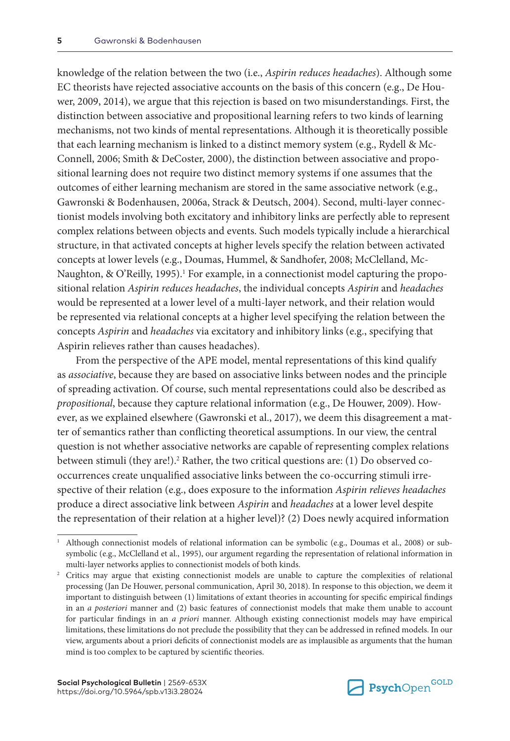knowledge of the relation between the two (i.e., *Aspirin reduces headaches*). Although some EC theorists have rejected associative accounts on the basis of this concern (e.g., De Houwer, 2009, 2014), we argue that this rejection is based on two misunderstandings. First, the distinction between associative and propositional learning refers to two kinds of learning mechanisms, not two kinds of mental representations. Although it is theoretically possible that each learning mechanism is linked to a distinct memory system (e.g., Rydell & Mc-Connell, 2006; Smith & DeCoster, 2000), the distinction between associative and propositional learning does not require two distinct memory systems if one assumes that the outcomes of either learning mechanism are stored in the same associative network (e.g., Gawronski & Bodenhausen, 2006a, Strack & Deutsch, 2004). Second, multi-layer connectionist models involving both excitatory and inhibitory links are perfectly able to represent complex relations between objects and events. Such models typically include a hierarchical structure, in that activated concepts at higher levels specify the relation between activated concepts at lower levels (e.g., Doumas, Hummel, & Sandhofer, 2008; McClelland, Mc-Naughton, & O'Reilly, 1995).<sup>1</sup> For example, in a connectionist model capturing the propositional relation *Aspirin reduces headaches*, the individual concepts *Aspirin* and *headaches* would be represented at a lower level of a multi-layer network, and their relation would be represented via relational concepts at a higher level specifying the relation between the concepts *Aspirin* and *headaches* via excitatory and inhibitory links (e.g., specifying that Aspirin relieves rather than causes headaches).

From the perspective of the APE model, mental representations of this kind qualify as *associative*, because they are based on associative links between nodes and the principle of spreading activation. Of course, such mental representations could also be described as *propositional*, because they capture relational information (e.g., De Houwer, 2009). However, as we explained elsewhere (Gawronski et al., 2017), we deem this disagreement a matter of semantics rather than conflicting theoretical assumptions. In our view, the central question is not whether associative networks are capable of representing complex relations between stimuli (they are!).<sup>2</sup> Rather, the two critical questions are: (1) Do observed cooccurrences create unqualified associative links between the co-occurring stimuli irrespective of their relation (e.g., does exposure to the information *Aspirin relieves headaches* produce a direct associative link between *Aspirin* and *headaches* at a lower level despite the representation of their relation at a higher level)? (2) Does newly acquired information



<sup>1</sup> Although connectionist models of relational information can be symbolic (e.g., Doumas et al., 2008) or subsymbolic (e.g., McClelland et al., 1995), our argument regarding the representation of relational information in multi-layer networks applies to connectionist models of both kinds.

<sup>2</sup> Critics may argue that existing connectionist models are unable to capture the complexities of relational processing (Jan De Houwer, personal communication, April 30, 2018). In response to this objection, we deem it important to distinguish between (1) limitations of extant theories in accounting for specific empirical findings in an *a posteriori* manner and (2) basic features of connectionist models that make them unable to account for particular findings in an *a priori* manner. Although existing connectionist models may have empirical limitations, these limitations do not preclude the possibility that they can be addressed in refined models. In our view, arguments about a priori deficits of connectionist models are as implausible as arguments that the human mind is too complex to be captured by scientific theories.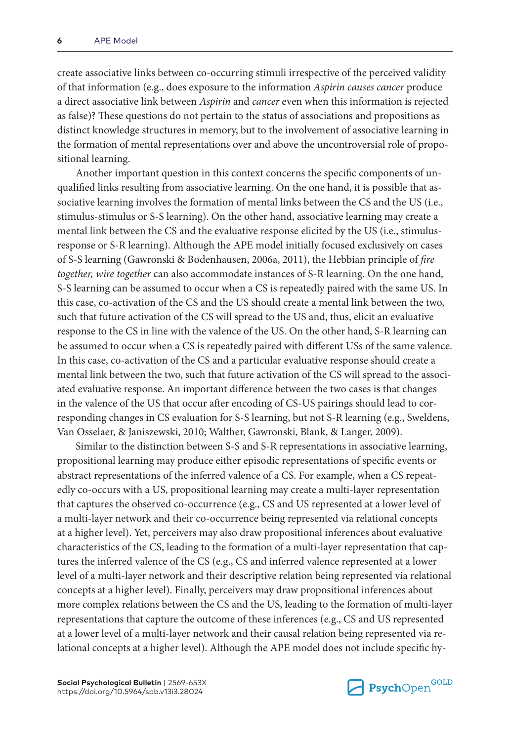create associative links between co-occurring stimuli irrespective of the perceived validity of that information (e.g., does exposure to the information *Aspirin causes cancer* produce a direct associative link between *Aspirin* and *cancer* even when this information is rejected as false)? These questions do not pertain to the status of associations and propositions as distinct knowledge structures in memory, but to the involvement of associative learning in the formation of mental representations over and above the uncontroversial role of propositional learning.

Another important question in this context concerns the specific components of unqualified links resulting from associative learning. On the one hand, it is possible that associative learning involves the formation of mental links between the CS and the US (i.e., stimulus-stimulus or S-S learning). On the other hand, associative learning may create a mental link between the CS and the evaluative response elicited by the US (i.e., stimulusresponse or S-R learning). Although the APE model initially focused exclusively on cases of S-S learning (Gawronski & Bodenhausen, 2006a, 2011), the Hebbian principle of *fire together, wire together* can also accommodate instances of S-R learning. On the one hand, S-S learning can be assumed to occur when a CS is repeatedly paired with the same US. In this case, co-activation of the CS and the US should create a mental link between the two, such that future activation of the CS will spread to the US and, thus, elicit an evaluative response to the CS in line with the valence of the US. On the other hand, S-R learning can be assumed to occur when a CS is repeatedly paired with different USs of the same valence. In this case, co-activation of the CS and a particular evaluative response should create a mental link between the two, such that future activation of the CS will spread to the associated evaluative response. An important difference between the two cases is that changes in the valence of the US that occur after encoding of CS-US pairings should lead to corresponding changes in CS evaluation for S-S learning, but not S-R learning (e.g., Sweldens, Van Osselaer, & Janiszewski, 2010; Walther, Gawronski, Blank, & Langer, 2009).

Similar to the distinction between S-S and S-R representations in associative learning, propositional learning may produce either episodic representations of specific events or abstract representations of the inferred valence of a CS. For example, when a CS repeatedly co-occurs with a US, propositional learning may create a multi-layer representation that captures the observed co-occurrence (e.g., CS and US represented at a lower level of a multi-layer network and their co-occurrence being represented via relational concepts at a higher level). Yet, perceivers may also draw propositional inferences about evaluative characteristics of the CS, leading to the formation of a multi-layer representation that captures the inferred valence of the CS (e.g., CS and inferred valence represented at a lower level of a multi-layer network and their descriptive relation being represented via relational concepts at a higher level). Finally, perceivers may draw propositional inferences about more complex relations between the CS and the US, leading to the formation of multi-layer representations that capture the outcome of these inferences (e.g., CS and US represented at a lower level of a multi-layer network and their causal relation being represented via relational concepts at a higher level). Although the APE model does not include specific hy-

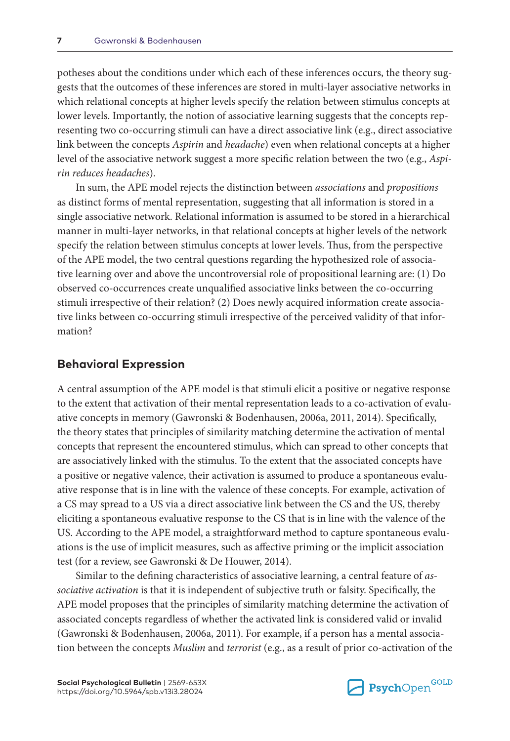potheses about the conditions under which each of these inferences occurs, the theory suggests that the outcomes of these inferences are stored in multi-layer associative networks in which relational concepts at higher levels specify the relation between stimulus concepts at lower levels. Importantly, the notion of associative learning suggests that the concepts representing two co-occurring stimuli can have a direct associative link (e.g., direct associative link between the concepts *Aspirin* and *headache*) even when relational concepts at a higher level of the associative network suggest a more specific relation between the two (e.g., *Aspirin reduces headaches*).

In sum, the APE model rejects the distinction between *associations* and *propositions* as distinct forms of mental representation, suggesting that all information is stored in a single associative network. Relational information is assumed to be stored in a hierarchical manner in multi-layer networks, in that relational concepts at higher levels of the network specify the relation between stimulus concepts at lower levels. Thus, from the perspective of the APE model, the two central questions regarding the hypothesized role of associative learning over and above the uncontroversial role of propositional learning are: (1) Do observed co-occurrences create unqualified associative links between the co-occurring stimuli irrespective of their relation? (2) Does newly acquired information create associative links between co-occurring stimuli irrespective of the perceived validity of that information?

#### **Behavioral Expression**

A central assumption of the APE model is that stimuli elicit a positive or negative response to the extent that activation of their mental representation leads to a co-activation of evaluative concepts in memory (Gawronski & Bodenhausen, 2006a, 2011, 2014). Specifically, the theory states that principles of similarity matching determine the activation of mental concepts that represent the encountered stimulus, which can spread to other concepts that are associatively linked with the stimulus. To the extent that the associated concepts have a positive or negative valence, their activation is assumed to produce a spontaneous evaluative response that is in line with the valence of these concepts. For example, activation of a CS may spread to a US via a direct associative link between the CS and the US, thereby eliciting a spontaneous evaluative response to the CS that is in line with the valence of the US. According to the APE model, a straightforward method to capture spontaneous evaluations is the use of implicit measures, such as affective priming or the implicit association test (for a review, see Gawronski & De Houwer, 2014).

Similar to the defining characteristics of associative learning, a central feature of *associative activation* is that it is independent of subjective truth or falsity. Specifically, the APE model proposes that the principles of similarity matching determine the activation of associated concepts regardless of whether the activated link is considered valid or invalid (Gawronski & Bodenhausen, 2006a, 2011). For example, if a person has a mental association between the concepts *Muslim* and *terrorist* (e.g., as a result of prior co-activation of the

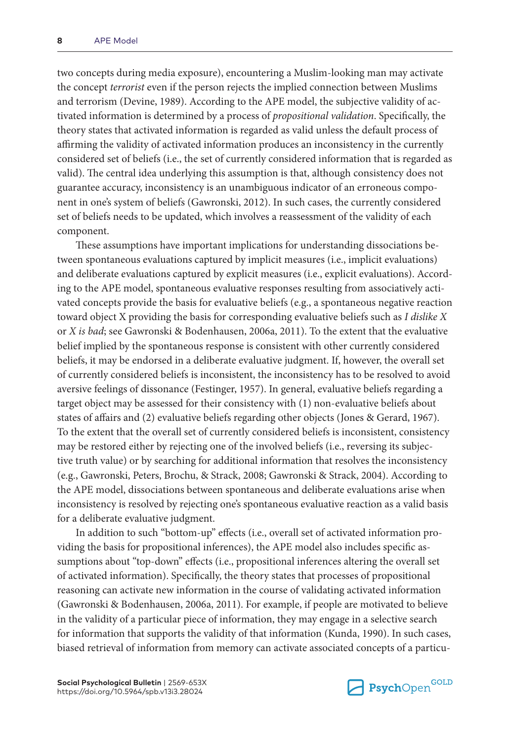two concepts during media exposure), encountering a Muslim-looking man may activate the concept *terrorist* even if the person rejects the implied connection between Muslims and terrorism (Devine, 1989). According to the APE model, the subjective validity of activated information is determined by a process of *propositional validation*. Specifically, the theory states that activated information is regarded as valid unless the default process of affirming the validity of activated information produces an inconsistency in the currently considered set of beliefs (i.e., the set of currently considered information that is regarded as valid). The central idea underlying this assumption is that, although consistency does not guarantee accuracy, inconsistency is an unambiguous indicator of an erroneous component in one's system of beliefs (Gawronski, 2012). In such cases, the currently considered set of beliefs needs to be updated, which involves a reassessment of the validity of each component.

These assumptions have important implications for understanding dissociations between spontaneous evaluations captured by implicit measures (i.e., implicit evaluations) and deliberate evaluations captured by explicit measures (i.e., explicit evaluations). According to the APE model, spontaneous evaluative responses resulting from associatively activated concepts provide the basis for evaluative beliefs (e.g., a spontaneous negative reaction toward object X providing the basis for corresponding evaluative beliefs such as *I dislike X* or *X is bad*; see Gawronski & Bodenhausen, 2006a, 2011). To the extent that the evaluative belief implied by the spontaneous response is consistent with other currently considered beliefs, it may be endorsed in a deliberate evaluative judgment. If, however, the overall set of currently considered beliefs is inconsistent, the inconsistency has to be resolved to avoid aversive feelings of dissonance (Festinger, 1957). In general, evaluative beliefs regarding a target object may be assessed for their consistency with (1) non-evaluative beliefs about states of affairs and (2) evaluative beliefs regarding other objects (Jones & Gerard, 1967). To the extent that the overall set of currently considered beliefs is inconsistent, consistency may be restored either by rejecting one of the involved beliefs (i.e., reversing its subjective truth value) or by searching for additional information that resolves the inconsistency (e.g., Gawronski, Peters, Brochu, & Strack, 2008; Gawronski & Strack, 2004). According to the APE model, dissociations between spontaneous and deliberate evaluations arise when inconsistency is resolved by rejecting one's spontaneous evaluative reaction as a valid basis for a deliberate evaluative judgment.

In addition to such "bottom-up" effects (i.e., overall set of activated information providing the basis for propositional inferences), the APE model also includes specific assumptions about "top-down" effects (i.e., propositional inferences altering the overall set of activated information). Specifically, the theory states that processes of propositional reasoning can activate new information in the course of validating activated information (Gawronski & Bodenhausen, 2006a, 2011). For example, if people are motivated to believe in the validity of a particular piece of information, they may engage in a selective search for information that supports the validity of that information (Kunda, 1990). In such cases, biased retrieval of information from memory can activate associated concepts of a particu-

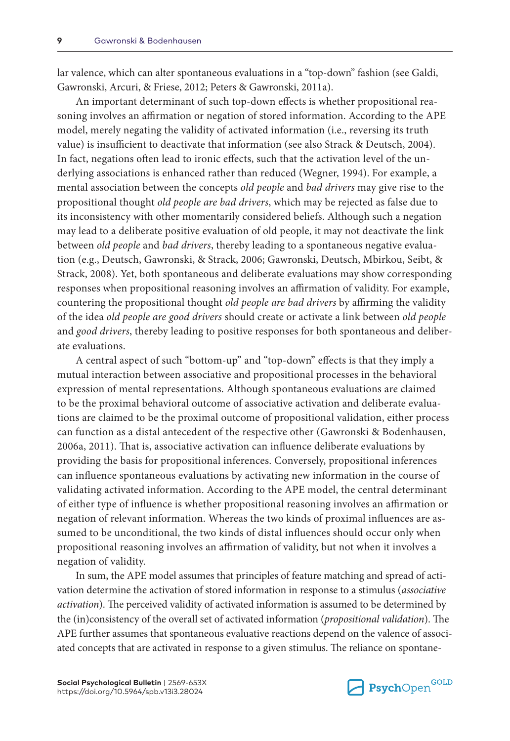lar valence, which can alter spontaneous evaluations in a "top-down" fashion (see Galdi, Gawronski, Arcuri, & Friese, 2012; Peters & Gawronski, 2011a).

An important determinant of such top-down effects is whether propositional reasoning involves an affirmation or negation of stored information. According to the APE model, merely negating the validity of activated information (i.e., reversing its truth value) is insufficient to deactivate that information (see also Strack & Deutsch, 2004). In fact, negations often lead to ironic effects, such that the activation level of the underlying associations is enhanced rather than reduced (Wegner, 1994). For example, a mental association between the concepts *old people* and *bad drivers* may give rise to the propositional thought *old people are bad drivers*, which may be rejected as false due to its inconsistency with other momentarily considered beliefs. Although such a negation may lead to a deliberate positive evaluation of old people, it may not deactivate the link between *old people* and *bad drivers*, thereby leading to a spontaneous negative evaluation (e.g., Deutsch, Gawronski, & Strack, 2006; Gawronski, Deutsch, Mbirkou, Seibt, & Strack, 2008). Yet, both spontaneous and deliberate evaluations may show corresponding responses when propositional reasoning involves an affirmation of validity. For example, countering the propositional thought *old people are bad drivers* by affirming the validity of the idea *old people are good drivers* should create or activate a link between *old people* and *good drivers*, thereby leading to positive responses for both spontaneous and deliberate evaluations.

A central aspect of such "bottom-up" and "top-down" effects is that they imply a mutual interaction between associative and propositional processes in the behavioral expression of mental representations. Although spontaneous evaluations are claimed to be the proximal behavioral outcome of associative activation and deliberate evaluations are claimed to be the proximal outcome of propositional validation, either process can function as a distal antecedent of the respective other (Gawronski & Bodenhausen, 2006a, 2011). That is, associative activation can influence deliberate evaluations by providing the basis for propositional inferences. Conversely, propositional inferences can influence spontaneous evaluations by activating new information in the course of validating activated information. According to the APE model, the central determinant of either type of influence is whether propositional reasoning involves an affirmation or negation of relevant information. Whereas the two kinds of proximal influences are assumed to be unconditional, the two kinds of distal influences should occur only when propositional reasoning involves an affirmation of validity, but not when it involves a negation of validity.

In sum, the APE model assumes that principles of feature matching and spread of activation determine the activation of stored information in response to a stimulus (*associative activation*). The perceived validity of activated information is assumed to be determined by the (in)consistency of the overall set of activated information (*propositional validation*). The APE further assumes that spontaneous evaluative reactions depend on the valence of associated concepts that are activated in response to a given stimulus. The reliance on spontane-

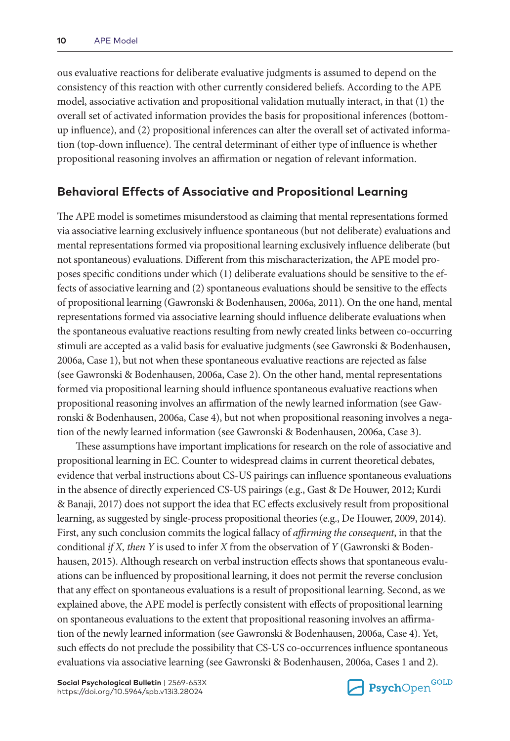ous evaluative reactions for deliberate evaluative judgments is assumed to depend on the consistency of this reaction with other currently considered beliefs. According to the APE model, associative activation and propositional validation mutually interact, in that (1) the overall set of activated information provides the basis for propositional inferences (bottomup influence), and (2) propositional inferences can alter the overall set of activated information (top-down influence). The central determinant of either type of influence is whether propositional reasoning involves an affirmation or negation of relevant information.

# **Behavioral Effects of Associative and Propositional Learning**

The APE model is sometimes misunderstood as claiming that mental representations formed via associative learning exclusively influence spontaneous (but not deliberate) evaluations and mental representations formed via propositional learning exclusively influence deliberate (but not spontaneous) evaluations. Different from this mischaracterization, the APE model proposes specific conditions under which (1) deliberate evaluations should be sensitive to the effects of associative learning and (2) spontaneous evaluations should be sensitive to the effects of propositional learning (Gawronski & Bodenhausen, 2006a, 2011). On the one hand, mental representations formed via associative learning should influence deliberate evaluations when the spontaneous evaluative reactions resulting from newly created links between co-occurring stimuli are accepted as a valid basis for evaluative judgments (see Gawronski & Bodenhausen, 2006a, Case 1), but not when these spontaneous evaluative reactions are rejected as false (see Gawronski & Bodenhausen, 2006a, Case 2). On the other hand, mental representations formed via propositional learning should influence spontaneous evaluative reactions when propositional reasoning involves an affirmation of the newly learned information (see Gawronski & Bodenhausen, 2006a, Case 4), but not when propositional reasoning involves a negation of the newly learned information (see Gawronski & Bodenhausen, 2006a, Case 3).

These assumptions have important implications for research on the role of associative and propositional learning in EC. Counter to widespread claims in current theoretical debates, evidence that verbal instructions about CS-US pairings can influence spontaneous evaluations in the absence of directly experienced CS-US pairings (e.g., Gast & De Houwer, 2012; Kurdi & Banaji, 2017) does not support the idea that EC effects exclusively result from propositional learning, as suggested by single-process propositional theories (e.g., De Houwer, 2009, 2014). First, any such conclusion commits the logical fallacy of *affirming the consequent*, in that the conditional *if X, then Y* is used to infer *X* from the observation of *Y* (Gawronski & Bodenhausen, 2015). Although research on verbal instruction effects shows that spontaneous evaluations can be influenced by propositional learning, it does not permit the reverse conclusion that any effect on spontaneous evaluations is a result of propositional learning. Second, as we explained above, the APE model is perfectly consistent with effects of propositional learning on spontaneous evaluations to the extent that propositional reasoning involves an affirmation of the newly learned information (see Gawronski & Bodenhausen, 2006a, Case 4). Yet, such effects do not preclude the possibility that CS-US co-occurrences influence spontaneous evaluations via associative learning (see Gawronski & Bodenhausen, 2006a, Cases 1 and 2).

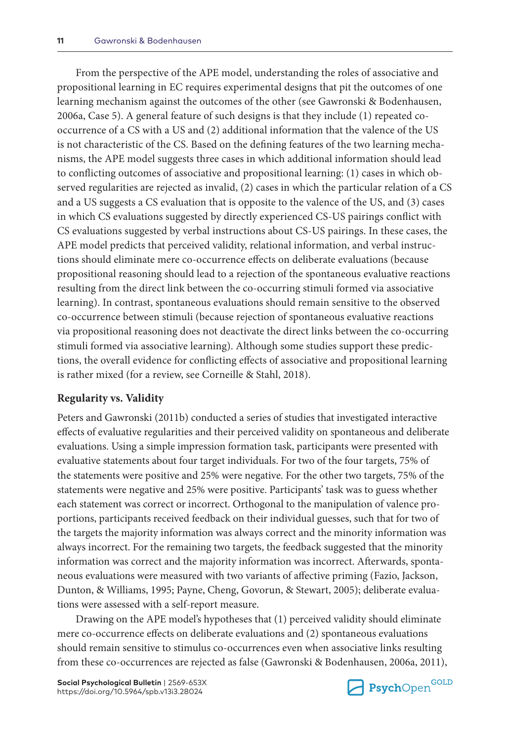From the perspective of the APE model, understanding the roles of associative and propositional learning in EC requires experimental designs that pit the outcomes of one learning mechanism against the outcomes of the other (see Gawronski & Bodenhausen, 2006a, Case 5). A general feature of such designs is that they include (1) repeated cooccurrence of a CS with a US and (2) additional information that the valence of the US is not characteristic of the CS. Based on the defining features of the two learning mechanisms, the APE model suggests three cases in which additional information should lead to conflicting outcomes of associative and propositional learning: (1) cases in which observed regularities are rejected as invalid, (2) cases in which the particular relation of a CS and a US suggests a CS evaluation that is opposite to the valence of the US, and (3) cases in which CS evaluations suggested by directly experienced CS-US pairings conflict with CS evaluations suggested by verbal instructions about CS-US pairings. In these cases, the APE model predicts that perceived validity, relational information, and verbal instructions should eliminate mere co-occurrence effects on deliberate evaluations (because propositional reasoning should lead to a rejection of the spontaneous evaluative reactions resulting from the direct link between the co-occurring stimuli formed via associative learning). In contrast, spontaneous evaluations should remain sensitive to the observed co-occurrence between stimuli (because rejection of spontaneous evaluative reactions via propositional reasoning does not deactivate the direct links between the co-occurring stimuli formed via associative learning). Although some studies support these predictions, the overall evidence for conflicting effects of associative and propositional learning is rather mixed (for a review, see Corneille & Stahl, 2018).

#### **Regularity vs. Validity**

Peters and Gawronski (2011b) conducted a series of studies that investigated interactive effects of evaluative regularities and their perceived validity on spontaneous and deliberate evaluations. Using a simple impression formation task, participants were presented with evaluative statements about four target individuals. For two of the four targets, 75% of the statements were positive and 25% were negative. For the other two targets, 75% of the statements were negative and 25% were positive. Participants' task was to guess whether each statement was correct or incorrect. Orthogonal to the manipulation of valence proportions, participants received feedback on their individual guesses, such that for two of the targets the majority information was always correct and the minority information was always incorrect. For the remaining two targets, the feedback suggested that the minority information was correct and the majority information was incorrect. Afterwards, spontaneous evaluations were measured with two variants of affective priming (Fazio, Jackson, Dunton, & Williams, 1995; Payne, Cheng, Govorun, & Stewart, 2005); deliberate evaluations were assessed with a self-report measure.

Drawing on the APE model's hypotheses that (1) perceived validity should eliminate mere co-occurrence effects on deliberate evaluations and (2) spontaneous evaluations should remain sensitive to stimulus co-occurrences even when associative links resulting from these co-occurrences are rejected as false (Gawronski & Bodenhausen, 2006a, 2011),

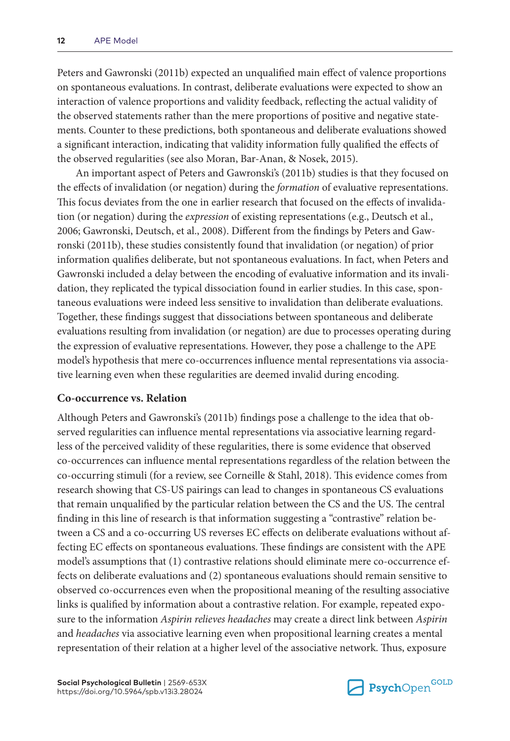Peters and Gawronski (2011b) expected an unqualified main effect of valence proportions on spontaneous evaluations. In contrast, deliberate evaluations were expected to show an interaction of valence proportions and validity feedback, reflecting the actual validity of the observed statements rather than the mere proportions of positive and negative statements. Counter to these predictions, both spontaneous and deliberate evaluations showed a significant interaction, indicating that validity information fully qualified the effects of the observed regularities (see also Moran, Bar-Anan, & Nosek, 2015).

An important aspect of Peters and Gawronski's (2011b) studies is that they focused on the effects of invalidation (or negation) during the *formation* of evaluative representations. This focus deviates from the one in earlier research that focused on the effects of invalidation (or negation) during the *expression* of existing representations (e.g., Deutsch et al., 2006; Gawronski, Deutsch, et al., 2008). Different from the findings by Peters and Gawronski (2011b), these studies consistently found that invalidation (or negation) of prior information qualifies deliberate, but not spontaneous evaluations. In fact, when Peters and Gawronski included a delay between the encoding of evaluative information and its invalidation, they replicated the typical dissociation found in earlier studies. In this case, spontaneous evaluations were indeed less sensitive to invalidation than deliberate evaluations. Together, these findings suggest that dissociations between spontaneous and deliberate evaluations resulting from invalidation (or negation) are due to processes operating during the expression of evaluative representations. However, they pose a challenge to the APE model's hypothesis that mere co-occurrences influence mental representations via associative learning even when these regularities are deemed invalid during encoding.

#### **Co-occurrence vs. Relation**

Although Peters and Gawronski's (2011b) findings pose a challenge to the idea that observed regularities can influence mental representations via associative learning regardless of the perceived validity of these regularities, there is some evidence that observed co-occurrences can influence mental representations regardless of the relation between the co-occurring stimuli (for a review, see Corneille & Stahl, 2018). This evidence comes from research showing that CS-US pairings can lead to changes in spontaneous CS evaluations that remain unqualified by the particular relation between the CS and the US. The central finding in this line of research is that information suggesting a "contrastive" relation between a CS and a co-occurring US reverses EC effects on deliberate evaluations without affecting EC effects on spontaneous evaluations. These findings are consistent with the APE model's assumptions that (1) contrastive relations should eliminate mere co-occurrence effects on deliberate evaluations and (2) spontaneous evaluations should remain sensitive to observed co-occurrences even when the propositional meaning of the resulting associative links is qualified by information about a contrastive relation. For example, repeated exposure to the information *Aspirin relieves headaches* may create a direct link between *Aspirin* and *headaches* via associative learning even when propositional learning creates a mental representation of their relation at a higher level of the associative network. Thus, exposure

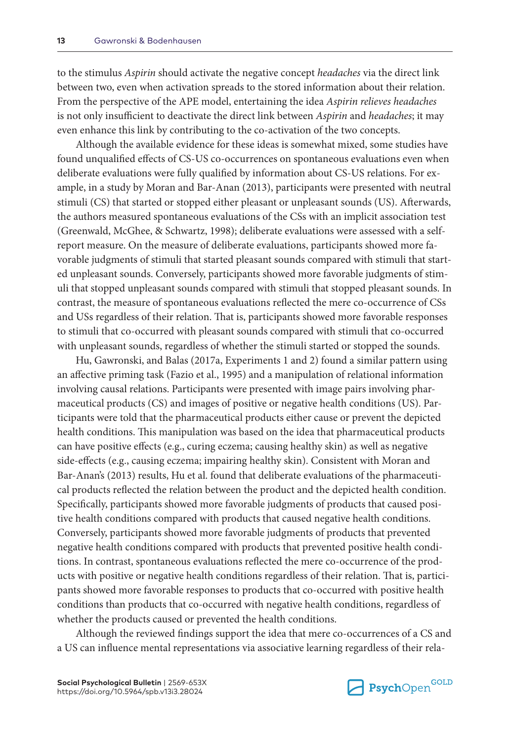to the stimulus *Aspirin* should activate the negative concept *headaches* via the direct link between two, even when activation spreads to the stored information about their relation. From the perspective of the APE model, entertaining the idea *Aspirin relieves headaches* is not only insufficient to deactivate the direct link between *Aspirin* and *headaches*; it may even enhance this link by contributing to the co-activation of the two concepts.

Although the available evidence for these ideas is somewhat mixed, some studies have found unqualified effects of CS-US co-occurrences on spontaneous evaluations even when deliberate evaluations were fully qualified by information about CS-US relations. For example, in a study by Moran and Bar-Anan (2013), participants were presented with neutral stimuli (CS) that started or stopped either pleasant or unpleasant sounds (US). Afterwards, the authors measured spontaneous evaluations of the CSs with an implicit association test (Greenwald, McGhee, & Schwartz, 1998); deliberate evaluations were assessed with a selfreport measure. On the measure of deliberate evaluations, participants showed more favorable judgments of stimuli that started pleasant sounds compared with stimuli that started unpleasant sounds. Conversely, participants showed more favorable judgments of stimuli that stopped unpleasant sounds compared with stimuli that stopped pleasant sounds. In contrast, the measure of spontaneous evaluations reflected the mere co-occurrence of CSs and USs regardless of their relation. That is, participants showed more favorable responses to stimuli that co-occurred with pleasant sounds compared with stimuli that co-occurred with unpleasant sounds, regardless of whether the stimuli started or stopped the sounds.

Hu, Gawronski, and Balas (2017a, Experiments 1 and 2) found a similar pattern using an affective priming task (Fazio et al., 1995) and a manipulation of relational information involving causal relations. Participants were presented with image pairs involving pharmaceutical products (CS) and images of positive or negative health conditions (US). Participants were told that the pharmaceutical products either cause or prevent the depicted health conditions. This manipulation was based on the idea that pharmaceutical products can have positive effects (e.g., curing eczema; causing healthy skin) as well as negative side-effects (e.g., causing eczema; impairing healthy skin). Consistent with Moran and Bar-Anan's (2013) results, Hu et al. found that deliberate evaluations of the pharmaceutical products reflected the relation between the product and the depicted health condition. Specifically, participants showed more favorable judgments of products that caused positive health conditions compared with products that caused negative health conditions. Conversely, participants showed more favorable judgments of products that prevented negative health conditions compared with products that prevented positive health conditions. In contrast, spontaneous evaluations reflected the mere co-occurrence of the products with positive or negative health conditions regardless of their relation. That is, participants showed more favorable responses to products that co-occurred with positive health conditions than products that co-occurred with negative health conditions, regardless of whether the products caused or prevented the health conditions.

Although the reviewed findings support the idea that mere co-occurrences of a CS and a US can influence mental representations via associative learning regardless of their rela-

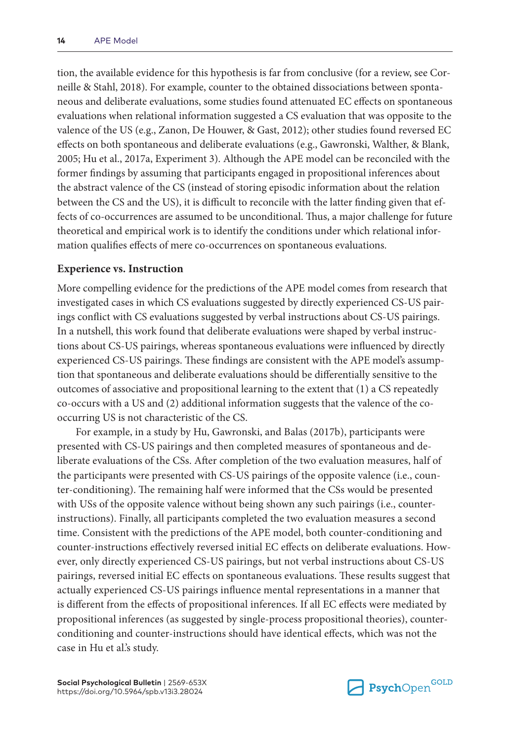tion, the available evidence for this hypothesis is far from conclusive (for a review, see Corneille & Stahl, 2018). For example, counter to the obtained dissociations between spontaneous and deliberate evaluations, some studies found attenuated EC effects on spontaneous evaluations when relational information suggested a CS evaluation that was opposite to the valence of the US (e.g., Zanon, De Houwer, & Gast, 2012); other studies found reversed EC effects on both spontaneous and deliberate evaluations (e.g., Gawronski, Walther, & Blank, 2005; Hu et al., 2017a, Experiment 3). Although the APE model can be reconciled with the former findings by assuming that participants engaged in propositional inferences about the abstract valence of the CS (instead of storing episodic information about the relation between the CS and the US), it is difficult to reconcile with the latter finding given that effects of co-occurrences are assumed to be unconditional. Thus, a major challenge for future theoretical and empirical work is to identify the conditions under which relational information qualifies effects of mere co-occurrences on spontaneous evaluations.

#### **Experience vs. Instruction**

More compelling evidence for the predictions of the APE model comes from research that investigated cases in which CS evaluations suggested by directly experienced CS-US pairings conflict with CS evaluations suggested by verbal instructions about CS-US pairings. In a nutshell, this work found that deliberate evaluations were shaped by verbal instructions about CS-US pairings, whereas spontaneous evaluations were influenced by directly experienced CS-US pairings. These findings are consistent with the APE model's assumption that spontaneous and deliberate evaluations should be differentially sensitive to the outcomes of associative and propositional learning to the extent that (1) a CS repeatedly co-occurs with a US and (2) additional information suggests that the valence of the cooccurring US is not characteristic of the CS.

For example, in a study by Hu, Gawronski, and Balas (2017b), participants were presented with CS-US pairings and then completed measures of spontaneous and deliberate evaluations of the CSs. After completion of the two evaluation measures, half of the participants were presented with CS-US pairings of the opposite valence (i.e., counter-conditioning). The remaining half were informed that the CSs would be presented with USs of the opposite valence without being shown any such pairings (i.e., counterinstructions). Finally, all participants completed the two evaluation measures a second time. Consistent with the predictions of the APE model, both counter-conditioning and counter-instructions effectively reversed initial EC effects on deliberate evaluations. However, only directly experienced CS-US pairings, but not verbal instructions about CS-US pairings, reversed initial EC effects on spontaneous evaluations. These results suggest that actually experienced CS-US pairings influence mental representations in a manner that is different from the effects of propositional inferences. If all EC effects were mediated by propositional inferences (as suggested by single-process propositional theories), counterconditioning and counter-instructions should have identical effects, which was not the case in Hu et al.'s study.

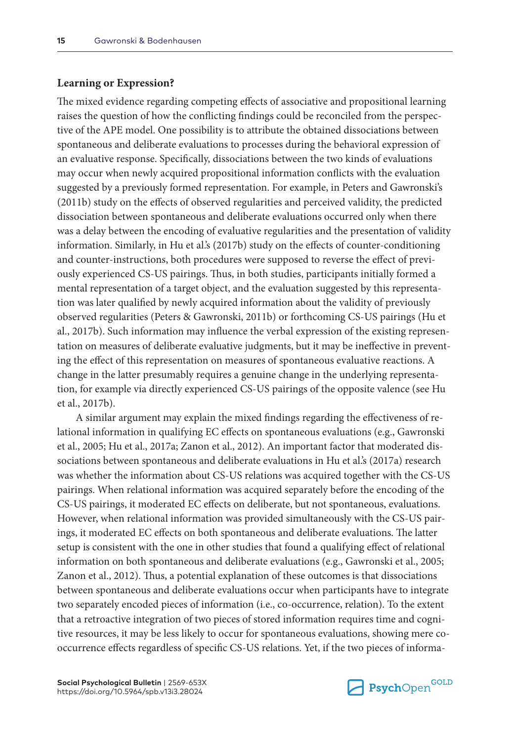#### **Learning or Expression?**

The mixed evidence regarding competing effects of associative and propositional learning raises the question of how the conflicting findings could be reconciled from the perspective of the APE model. One possibility is to attribute the obtained dissociations between spontaneous and deliberate evaluations to processes during the behavioral expression of an evaluative response. Specifically, dissociations between the two kinds of evaluations may occur when newly acquired propositional information conflicts with the evaluation suggested by a previously formed representation. For example, in Peters and Gawronski's (2011b) study on the effects of observed regularities and perceived validity, the predicted dissociation between spontaneous and deliberate evaluations occurred only when there was a delay between the encoding of evaluative regularities and the presentation of validity information. Similarly, in Hu et al.'s (2017b) study on the effects of counter-conditioning and counter-instructions, both procedures were supposed to reverse the effect of previously experienced CS-US pairings. Thus, in both studies, participants initially formed a mental representation of a target object, and the evaluation suggested by this representation was later qualified by newly acquired information about the validity of previously observed regularities (Peters & Gawronski, 2011b) or forthcoming CS-US pairings (Hu et al., 2017b). Such information may influence the verbal expression of the existing representation on measures of deliberate evaluative judgments, but it may be ineffective in preventing the effect of this representation on measures of spontaneous evaluative reactions. A change in the latter presumably requires a genuine change in the underlying representation, for example via directly experienced CS-US pairings of the opposite valence (see Hu et al., 2017b).

A similar argument may explain the mixed findings regarding the effectiveness of relational information in qualifying EC effects on spontaneous evaluations (e.g., Gawronski et al., 2005; Hu et al., 2017a; Zanon et al., 2012). An important factor that moderated dissociations between spontaneous and deliberate evaluations in Hu et al.'s (2017a) research was whether the information about CS-US relations was acquired together with the CS-US pairings. When relational information was acquired separately before the encoding of the CS-US pairings, it moderated EC effects on deliberate, but not spontaneous, evaluations. However, when relational information was provided simultaneously with the CS-US pairings, it moderated EC effects on both spontaneous and deliberate evaluations. The latter setup is consistent with the one in other studies that found a qualifying effect of relational information on both spontaneous and deliberate evaluations (e.g., Gawronski et al., 2005; Zanon et al., 2012). Thus, a potential explanation of these outcomes is that dissociations between spontaneous and deliberate evaluations occur when participants have to integrate two separately encoded pieces of information (i.e., co-occurrence, relation). To the extent that a retroactive integration of two pieces of stored information requires time and cognitive resources, it may be less likely to occur for spontaneous evaluations, showing mere cooccurrence effects regardless of specific CS-US relations. Yet, if the two pieces of informa-

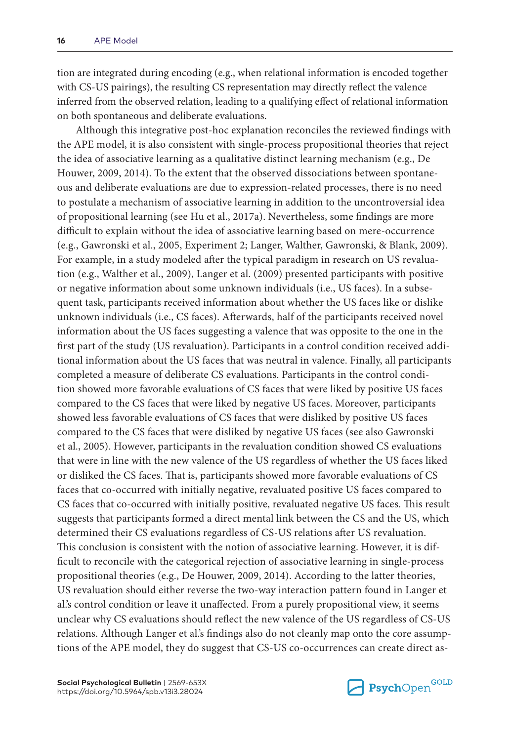tion are integrated during encoding (e.g., when relational information is encoded together with CS-US pairings), the resulting CS representation may directly reflect the valence inferred from the observed relation, leading to a qualifying effect of relational information on both spontaneous and deliberate evaluations.

Although this integrative post-hoc explanation reconciles the reviewed findings with the APE model, it is also consistent with single-process propositional theories that reject the idea of associative learning as a qualitative distinct learning mechanism (e.g., De Houwer, 2009, 2014). To the extent that the observed dissociations between spontaneous and deliberate evaluations are due to expression-related processes, there is no need to postulate a mechanism of associative learning in addition to the uncontroversial idea of propositional learning (see Hu et al., 2017a). Nevertheless, some findings are more difficult to explain without the idea of associative learning based on mere-occurrence (e.g., Gawronski et al., 2005, Experiment 2; Langer, Walther, Gawronski, & Blank, 2009). For example, in a study modeled after the typical paradigm in research on US revaluation (e.g., Walther et al., 2009), Langer et al. (2009) presented participants with positive or negative information about some unknown individuals (i.e., US faces). In a subsequent task, participants received information about whether the US faces like or dislike unknown individuals (i.e., CS faces). Afterwards, half of the participants received novel information about the US faces suggesting a valence that was opposite to the one in the first part of the study (US revaluation). Participants in a control condition received additional information about the US faces that was neutral in valence. Finally, all participants completed a measure of deliberate CS evaluations. Participants in the control condition showed more favorable evaluations of CS faces that were liked by positive US faces compared to the CS faces that were liked by negative US faces. Moreover, participants showed less favorable evaluations of CS faces that were disliked by positive US faces compared to the CS faces that were disliked by negative US faces (see also Gawronski et al., 2005). However, participants in the revaluation condition showed CS evaluations that were in line with the new valence of the US regardless of whether the US faces liked or disliked the CS faces. That is, participants showed more favorable evaluations of CS faces that co-occurred with initially negative, revaluated positive US faces compared to CS faces that co-occurred with initially positive, revaluated negative US faces. This result suggests that participants formed a direct mental link between the CS and the US, which determined their CS evaluations regardless of CS-US relations after US revaluation. This conclusion is consistent with the notion of associative learning. However, it is difficult to reconcile with the categorical rejection of associative learning in single-process propositional theories (e.g., De Houwer, 2009, 2014). According to the latter theories, US revaluation should either reverse the two-way interaction pattern found in Langer et al.'s control condition or leave it unaffected. From a purely propositional view, it seems unclear why CS evaluations should reflect the new valence of the US regardless of CS-US relations. Although Langer et al.'s findings also do not cleanly map onto the core assumptions of the APE model, they do suggest that CS-US co-occurrences can create direct as-

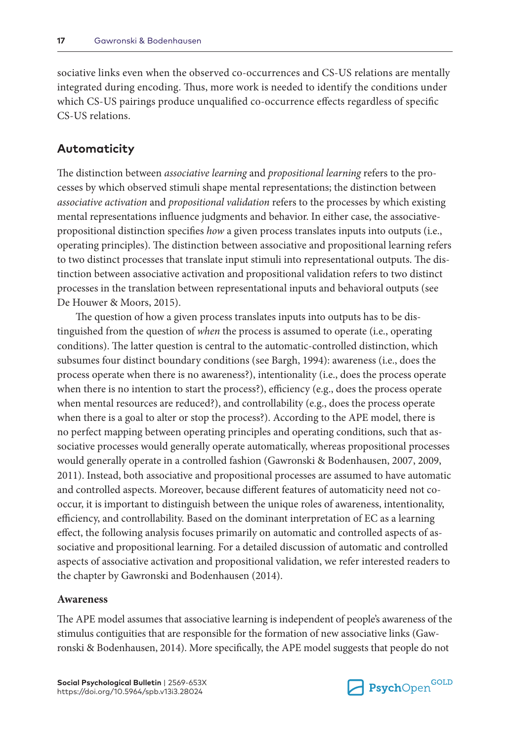sociative links even when the observed co-occurrences and CS-US relations are mentally integrated during encoding. Thus, more work is needed to identify the conditions under which CS-US pairings produce unqualified co-occurrence effects regardless of specific CS-US relations.

## **Automaticity**

The distinction between *associative learning* and *propositional learning* refers to the processes by which observed stimuli shape mental representations; the distinction between *associative activation* and *propositional validation* refers to the processes by which existing mental representations influence judgments and behavior. In either case, the associativepropositional distinction specifies *how* a given process translates inputs into outputs (i.e., operating principles). The distinction between associative and propositional learning refers to two distinct processes that translate input stimuli into representational outputs. The distinction between associative activation and propositional validation refers to two distinct processes in the translation between representational inputs and behavioral outputs (see De Houwer & Moors, 2015).

The question of how a given process translates inputs into outputs has to be distinguished from the question of *when* the process is assumed to operate (i.e., operating conditions). The latter question is central to the automatic-controlled distinction, which subsumes four distinct boundary conditions (see Bargh, 1994): awareness (i.e., does the process operate when there is no awareness?), intentionality (i.e., does the process operate when there is no intention to start the process?), efficiency (e.g., does the process operate when mental resources are reduced?), and controllability (e.g., does the process operate when there is a goal to alter or stop the process?). According to the APE model, there is no perfect mapping between operating principles and operating conditions, such that associative processes would generally operate automatically, whereas propositional processes would generally operate in a controlled fashion (Gawronski & Bodenhausen, 2007, 2009, 2011). Instead, both associative and propositional processes are assumed to have automatic and controlled aspects. Moreover, because different features of automaticity need not cooccur, it is important to distinguish between the unique roles of awareness, intentionality, efficiency, and controllability. Based on the dominant interpretation of EC as a learning effect, the following analysis focuses primarily on automatic and controlled aspects of associative and propositional learning. For a detailed discussion of automatic and controlled aspects of associative activation and propositional validation, we refer interested readers to the chapter by Gawronski and Bodenhausen (2014).

#### **Awareness**

The APE model assumes that associative learning is independent of people's awareness of the stimulus contiguities that are responsible for the formation of new associative links (Gawronski & Bodenhausen, 2014). More specifically, the APE model suggests that people do not

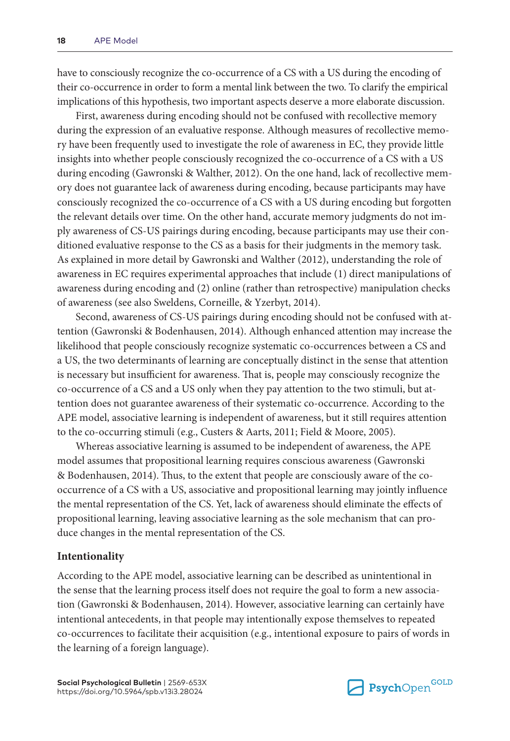have to consciously recognize the co-occurrence of a CS with a US during the encoding of their co-occurrence in order to form a mental link between the two. To clarify the empirical implications of this hypothesis, two important aspects deserve a more elaborate discussion.

First, awareness during encoding should not be confused with recollective memory during the expression of an evaluative response. Although measures of recollective memory have been frequently used to investigate the role of awareness in EC, they provide little insights into whether people consciously recognized the co-occurrence of a CS with a US during encoding (Gawronski & Walther, 2012). On the one hand, lack of recollective memory does not guarantee lack of awareness during encoding, because participants may have consciously recognized the co-occurrence of a CS with a US during encoding but forgotten the relevant details over time. On the other hand, accurate memory judgments do not imply awareness of CS-US pairings during encoding, because participants may use their conditioned evaluative response to the CS as a basis for their judgments in the memory task. As explained in more detail by Gawronski and Walther (2012), understanding the role of awareness in EC requires experimental approaches that include (1) direct manipulations of awareness during encoding and (2) online (rather than retrospective) manipulation checks of awareness (see also Sweldens, Corneille, & Yzerbyt, 2014).

Second, awareness of CS-US pairings during encoding should not be confused with attention (Gawronski & Bodenhausen, 2014). Although enhanced attention may increase the likelihood that people consciously recognize systematic co-occurrences between a CS and a US, the two determinants of learning are conceptually distinct in the sense that attention is necessary but insufficient for awareness. That is, people may consciously recognize the co-occurrence of a CS and a US only when they pay attention to the two stimuli, but attention does not guarantee awareness of their systematic co-occurrence. According to the APE model, associative learning is independent of awareness, but it still requires attention to the co-occurring stimuli (e.g., Custers & Aarts, 2011; Field & Moore, 2005).

Whereas associative learning is assumed to be independent of awareness, the APE model assumes that propositional learning requires conscious awareness (Gawronski & Bodenhausen, 2014). Thus, to the extent that people are consciously aware of the cooccurrence of a CS with a US, associative and propositional learning may jointly influence the mental representation of the CS. Yet, lack of awareness should eliminate the effects of propositional learning, leaving associative learning as the sole mechanism that can produce changes in the mental representation of the CS.

#### **Intentionality**

According to the APE model, associative learning can be described as unintentional in the sense that the learning process itself does not require the goal to form a new association (Gawronski & Bodenhausen, 2014). However, associative learning can certainly have intentional antecedents, in that people may intentionally expose themselves to repeated co-occurrences to facilitate their acquisition (e.g., intentional exposure to pairs of words in the learning of a foreign language).

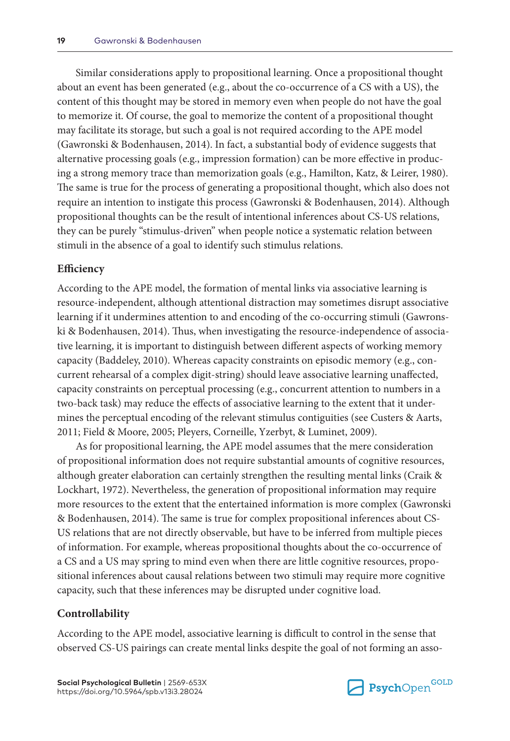Similar considerations apply to propositional learning. Once a propositional thought about an event has been generated (e.g., about the co-occurrence of a CS with a US), the content of this thought may be stored in memory even when people do not have the goal to memorize it. Of course, the goal to memorize the content of a propositional thought may facilitate its storage, but such a goal is not required according to the APE model (Gawronski & Bodenhausen, 2014). In fact, a substantial body of evidence suggests that alternative processing goals (e.g., impression formation) can be more effective in producing a strong memory trace than memorization goals (e.g., Hamilton, Katz, & Leirer, 1980). The same is true for the process of generating a propositional thought, which also does not require an intention to instigate this process (Gawronski & Bodenhausen, 2014). Although propositional thoughts can be the result of intentional inferences about CS-US relations, they can be purely "stimulus-driven" when people notice a systematic relation between stimuli in the absence of a goal to identify such stimulus relations.

#### **Efficiency**

According to the APE model, the formation of mental links via associative learning is resource-independent, although attentional distraction may sometimes disrupt associative learning if it undermines attention to and encoding of the co-occurring stimuli (Gawronski & Bodenhausen, 2014). Thus, when investigating the resource-independence of associative learning, it is important to distinguish between different aspects of working memory capacity (Baddeley, 2010). Whereas capacity constraints on episodic memory (e.g., concurrent rehearsal of a complex digit-string) should leave associative learning unaffected, capacity constraints on perceptual processing (e.g., concurrent attention to numbers in a two-back task) may reduce the effects of associative learning to the extent that it undermines the perceptual encoding of the relevant stimulus contiguities (see Custers & Aarts, 2011; Field & Moore, 2005; Pleyers, Corneille, Yzerbyt, & Luminet, 2009).

As for propositional learning, the APE model assumes that the mere consideration of propositional information does not require substantial amounts of cognitive resources, although greater elaboration can certainly strengthen the resulting mental links (Craik & Lockhart, 1972). Nevertheless, the generation of propositional information may require more resources to the extent that the entertained information is more complex (Gawronski & Bodenhausen, 2014). The same is true for complex propositional inferences about CS-US relations that are not directly observable, but have to be inferred from multiple pieces of information. For example, whereas propositional thoughts about the co-occurrence of a CS and a US may spring to mind even when there are little cognitive resources, propositional inferences about causal relations between two stimuli may require more cognitive capacity, such that these inferences may be disrupted under cognitive load.

#### **Controllability**

According to the APE model, associative learning is difficult to control in the sense that observed CS-US pairings can create mental links despite the goal of not forming an asso-

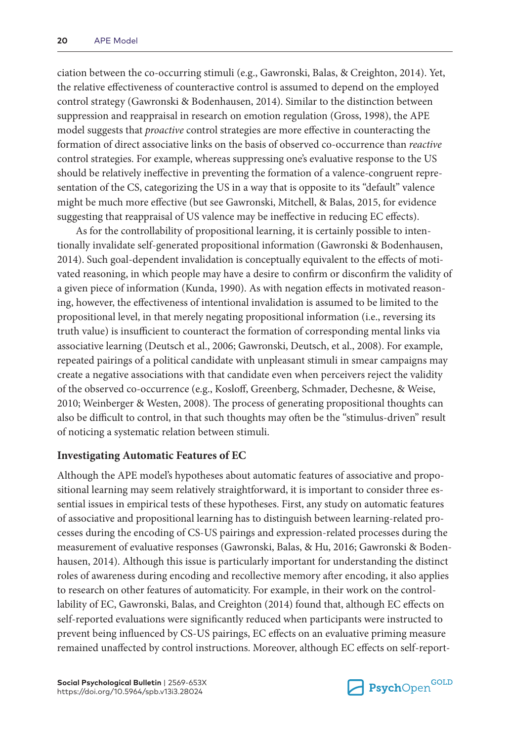ciation between the co-occurring stimuli (e.g., Gawronski, Balas, & Creighton, 2014). Yet, the relative effectiveness of counteractive control is assumed to depend on the employed control strategy (Gawronski & Bodenhausen, 2014). Similar to the distinction between suppression and reappraisal in research on emotion regulation (Gross, 1998), the APE model suggests that *proactive* control strategies are more effective in counteracting the formation of direct associative links on the basis of observed co-occurrence than *reactive* control strategies. For example, whereas suppressing one's evaluative response to the US should be relatively ineffective in preventing the formation of a valence-congruent representation of the CS, categorizing the US in a way that is opposite to its "default" valence might be much more effective (but see Gawronski, Mitchell, & Balas, 2015, for evidence suggesting that reappraisal of US valence may be ineffective in reducing EC effects).

As for the controllability of propositional learning, it is certainly possible to intentionally invalidate self-generated propositional information (Gawronski & Bodenhausen, 2014). Such goal-dependent invalidation is conceptually equivalent to the effects of motivated reasoning, in which people may have a desire to confirm or disconfirm the validity of a given piece of information (Kunda, 1990). As with negation effects in motivated reasoning, however, the effectiveness of intentional invalidation is assumed to be limited to the propositional level, in that merely negating propositional information (i.e., reversing its truth value) is insufficient to counteract the formation of corresponding mental links via associative learning (Deutsch et al., 2006; Gawronski, Deutsch, et al., 2008). For example, repeated pairings of a political candidate with unpleasant stimuli in smear campaigns may create a negative associations with that candidate even when perceivers reject the validity of the observed co-occurrence (e.g., Kosloff, Greenberg, Schmader, Dechesne, & Weise, 2010; Weinberger & Westen, 2008). The process of generating propositional thoughts can also be difficult to control, in that such thoughts may often be the "stimulus-driven" result of noticing a systematic relation between stimuli.

## **Investigating Automatic Features of EC**

Although the APE model's hypotheses about automatic features of associative and propositional learning may seem relatively straightforward, it is important to consider three essential issues in empirical tests of these hypotheses. First, any study on automatic features of associative and propositional learning has to distinguish between learning-related processes during the encoding of CS-US pairings and expression-related processes during the measurement of evaluative responses (Gawronski, Balas, & Hu, 2016; Gawronski & Bodenhausen, 2014). Although this issue is particularly important for understanding the distinct roles of awareness during encoding and recollective memory after encoding, it also applies to research on other features of automaticity. For example, in their work on the controllability of EC, Gawronski, Balas, and Creighton (2014) found that, although EC effects on self-reported evaluations were significantly reduced when participants were instructed to prevent being influenced by CS-US pairings, EC effects on an evaluative priming measure remained unaffected by control instructions. Moreover, although EC effects on self-report-

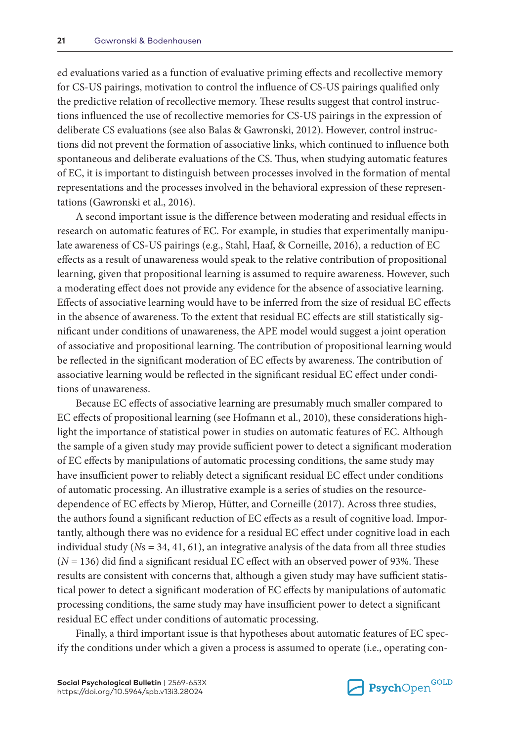ed evaluations varied as a function of evaluative priming effects and recollective memory for CS-US pairings, motivation to control the influence of CS-US pairings qualified only the predictive relation of recollective memory. These results suggest that control instructions influenced the use of recollective memories for CS-US pairings in the expression of deliberate CS evaluations (see also Balas & Gawronski, 2012). However, control instructions did not prevent the formation of associative links, which continued to influence both spontaneous and deliberate evaluations of the CS. Thus, when studying automatic features of EC, it is important to distinguish between processes involved in the formation of mental representations and the processes involved in the behavioral expression of these representations (Gawronski et al., 2016).

A second important issue is the difference between moderating and residual effects in research on automatic features of EC. For example, in studies that experimentally manipulate awareness of CS-US pairings (e.g., Stahl, Haaf, & Corneille, 2016), a reduction of EC effects as a result of unawareness would speak to the relative contribution of propositional learning, given that propositional learning is assumed to require awareness. However, such a moderating effect does not provide any evidence for the absence of associative learning. Effects of associative learning would have to be inferred from the size of residual EC effects in the absence of awareness. To the extent that residual EC effects are still statistically significant under conditions of unawareness, the APE model would suggest a joint operation of associative and propositional learning. The contribution of propositional learning would be reflected in the significant moderation of EC effects by awareness. The contribution of associative learning would be reflected in the significant residual EC effect under conditions of unawareness.

Because EC effects of associative learning are presumably much smaller compared to EC effects of propositional learning (see Hofmann et al., 2010), these considerations highlight the importance of statistical power in studies on automatic features of EC. Although the sample of a given study may provide sufficient power to detect a significant moderation of EC effects by manipulations of automatic processing conditions, the same study may have insufficient power to reliably detect a significant residual EC effect under conditions of automatic processing. An illustrative example is a series of studies on the resourcedependence of EC effects by Mierop, Hütter, and Corneille (2017). Across three studies, the authors found a significant reduction of EC effects as a result of cognitive load. Importantly, although there was no evidence for a residual EC effect under cognitive load in each individual study ( $Ns = 34, 41, 61$ ), an integrative analysis of the data from all three studies (*N* = 136) did find a significant residual EC effect with an observed power of 93%. These results are consistent with concerns that, although a given study may have sufficient statistical power to detect a significant moderation of EC effects by manipulations of automatic processing conditions, the same study may have insufficient power to detect a significant residual EC effect under conditions of automatic processing.

Finally, a third important issue is that hypotheses about automatic features of EC specify the conditions under which a given a process is assumed to operate (i.e., operating con-

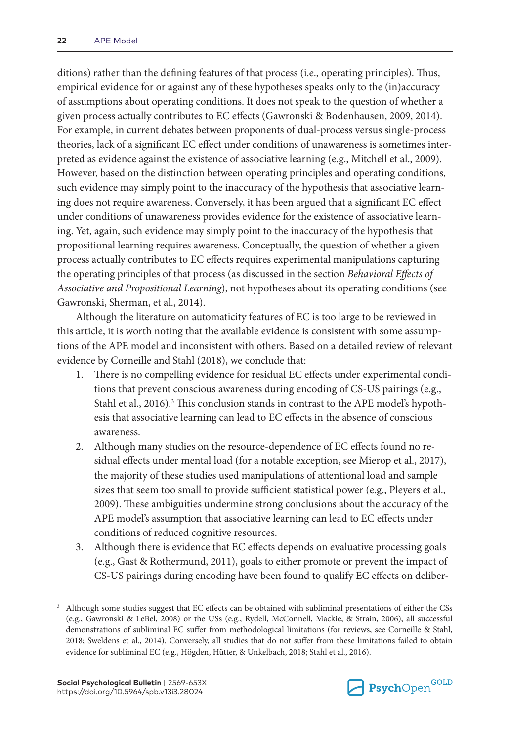ditions) rather than the defining features of that process (i.e., operating principles). Thus, empirical evidence for or against any of these hypotheses speaks only to the (in)accuracy of assumptions about operating conditions. It does not speak to the question of whether a given process actually contributes to EC effects (Gawronski & Bodenhausen, 2009, 2014). For example, in current debates between proponents of dual-process versus single-process theories, lack of a significant EC effect under conditions of unawareness is sometimes interpreted as evidence against the existence of associative learning (e.g., Mitchell et al., 2009). However, based on the distinction between operating principles and operating conditions, such evidence may simply point to the inaccuracy of the hypothesis that associative learning does not require awareness. Conversely, it has been argued that a significant EC effect under conditions of unawareness provides evidence for the existence of associative learning. Yet, again, such evidence may simply point to the inaccuracy of the hypothesis that propositional learning requires awareness. Conceptually, the question of whether a given process actually contributes to EC effects requires experimental manipulations capturing the operating principles of that process (as discussed in the section *Behavioral Effects of Associative and Propositional Learning*), not hypotheses about its operating conditions (see Gawronski, Sherman, et al., 2014).

Although the literature on automaticity features of EC is too large to be reviewed in this article, it is worth noting that the available evidence is consistent with some assumptions of the APE model and inconsistent with others. Based on a detailed review of relevant evidence by Corneille and Stahl (2018), we conclude that:

- 1. There is no compelling evidence for residual EC effects under experimental conditions that prevent conscious awareness during encoding of CS-US pairings (e.g., Stahl et al., 2016).<sup>3</sup> This conclusion stands in contrast to the APE model's hypothesis that associative learning can lead to EC effects in the absence of conscious awareness.
- 2. Although many studies on the resource-dependence of EC effects found no residual effects under mental load (for a notable exception, see Mierop et al., 2017), the majority of these studies used manipulations of attentional load and sample sizes that seem too small to provide sufficient statistical power (e.g., Pleyers et al., 2009). These ambiguities undermine strong conclusions about the accuracy of the APE model's assumption that associative learning can lead to EC effects under conditions of reduced cognitive resources.
- 3. Although there is evidence that EC effects depends on evaluative processing goals (e.g., Gast & Rothermund, 2011), goals to either promote or prevent the impact of CS-US pairings during encoding have been found to qualify EC effects on deliber-



<sup>3</sup> Although some studies suggest that EC effects can be obtained with subliminal presentations of either the CSs (e.g., Gawronski & LeBel, 2008) or the USs (e.g., Rydell, McConnell, Mackie, & Strain, 2006), all successful demonstrations of subliminal EC suffer from methodological limitations (for reviews, see Corneille & Stahl, 2018; Sweldens et al., 2014). Conversely, all studies that do not suffer from these limitations failed to obtain evidence for subliminal EC (e.g., Högden, Hütter, & Unkelbach, 2018; Stahl et al., 2016).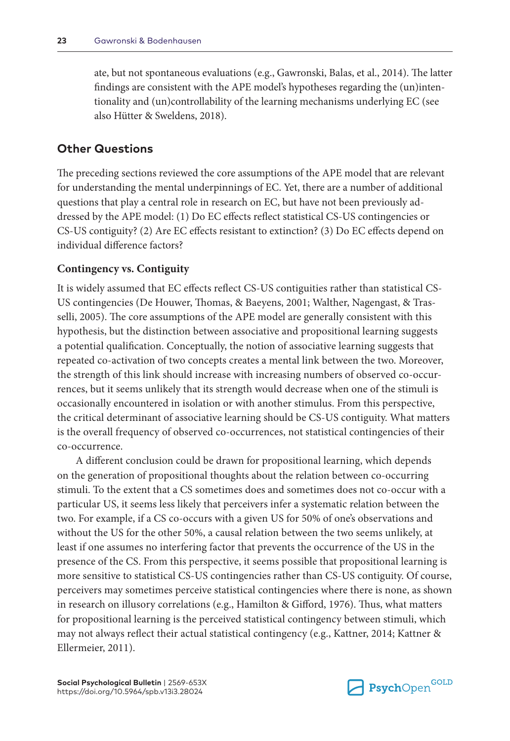ate, but not spontaneous evaluations (e.g., Gawronski, Balas, et al., 2014). The latter findings are consistent with the APE model's hypotheses regarding the (un)intentionality and (un)controllability of the learning mechanisms underlying EC (see also Hütter & Sweldens, 2018).

## **Other Questions**

The preceding sections reviewed the core assumptions of the APE model that are relevant for understanding the mental underpinnings of EC. Yet, there are a number of additional questions that play a central role in research on EC, but have not been previously addressed by the APE model: (1) Do EC effects reflect statistical CS-US contingencies or CS-US contiguity? (2) Are EC effects resistant to extinction? (3) Do EC effects depend on individual difference factors?

#### **Contingency vs. Contiguity**

It is widely assumed that EC effects reflect CS-US contiguities rather than statistical CS-US contingencies (De Houwer, Thomas, & Baeyens, 2001; Walther, Nagengast, & Trasselli, 2005). The core assumptions of the APE model are generally consistent with this hypothesis, but the distinction between associative and propositional learning suggests a potential qualification. Conceptually, the notion of associative learning suggests that repeated co-activation of two concepts creates a mental link between the two. Moreover, the strength of this link should increase with increasing numbers of observed co-occurrences, but it seems unlikely that its strength would decrease when one of the stimuli is occasionally encountered in isolation or with another stimulus. From this perspective, the critical determinant of associative learning should be CS-US contiguity. What matters is the overall frequency of observed co-occurrences, not statistical contingencies of their co-occurrence.

A different conclusion could be drawn for propositional learning, which depends on the generation of propositional thoughts about the relation between co-occurring stimuli. To the extent that a CS sometimes does and sometimes does not co-occur with a particular US, it seems less likely that perceivers infer a systematic relation between the two. For example, if a CS co-occurs with a given US for 50% of one's observations and without the US for the other 50%, a causal relation between the two seems unlikely, at least if one assumes no interfering factor that prevents the occurrence of the US in the presence of the CS. From this perspective, it seems possible that propositional learning is more sensitive to statistical CS-US contingencies rather than CS-US contiguity. Of course, perceivers may sometimes perceive statistical contingencies where there is none, as shown in research on illusory correlations (e.g., Hamilton & Gifford, 1976). Thus, what matters for propositional learning is the perceived statistical contingency between stimuli, which may not always reflect their actual statistical contingency (e.g., Kattner, 2014; Kattner & Ellermeier, 2011).

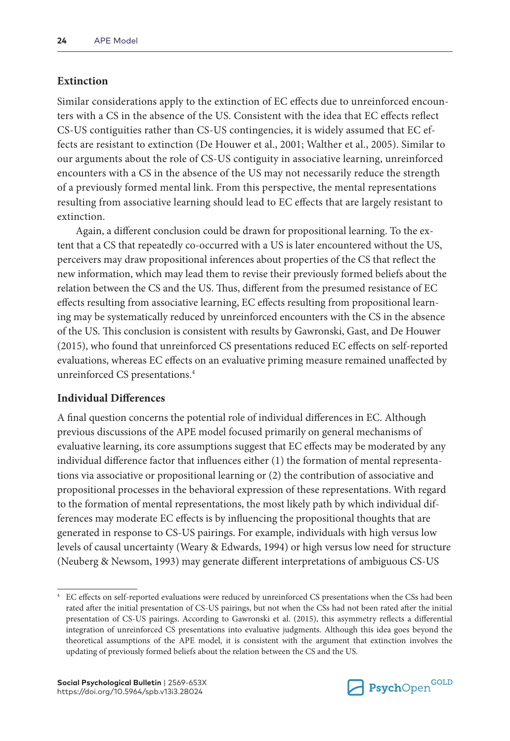### **Extinction**

Similar considerations apply to the extinction of EC effects due to unreinforced encounters with a CS in the absence of the US. Consistent with the idea that EC effects reflect CS-US contiguities rather than CS-US contingencies, it is widely assumed that EC effects are resistant to extinction (De Houwer et al., 2001; Walther et al., 2005). Similar to our arguments about the role of CS-US contiguity in associative learning, unreinforced encounters with a CS in the absence of the US may not necessarily reduce the strength of a previously formed mental link. From this perspective, the mental representations resulting from associative learning should lead to EC effects that are largely resistant to extinction.

Again, a different conclusion could be drawn for propositional learning. To the extent that a CS that repeatedly co-occurred with a US is later encountered without the US, perceivers may draw propositional inferences about properties of the CS that reflect the new information, which may lead them to revise their previously formed beliefs about the relation between the CS and the US. Thus, different from the presumed resistance of EC effects resulting from associative learning, EC effects resulting from propositional learning may be systematically reduced by unreinforced encounters with the CS in the absence of the US. This conclusion is consistent with results by Gawronski, Gast, and De Houwer (2015), who found that unreinforced CS presentations reduced EC effects on self-reported evaluations, whereas EC effects on an evaluative priming measure remained unaffected by unreinforced CS presentations.4

#### **Individual Differences**

A final question concerns the potential role of individual differences in EC. Although previous discussions of the APE model focused primarily on general mechanisms of evaluative learning, its core assumptions suggest that EC effects may be moderated by any individual difference factor that influences either (1) the formation of mental representations via associative or propositional learning or (2) the contribution of associative and propositional processes in the behavioral expression of these representations. With regard to the formation of mental representations, the most likely path by which individual differences may moderate EC effects is by influencing the propositional thoughts that are generated in response to CS-US pairings. For example, individuals with high versus low levels of causal uncertainty (Weary & Edwards, 1994) or high versus low need for structure (Neuberg & Newsom, 1993) may generate different interpretations of ambiguous CS-US



<sup>4</sup> EC effects on self-reported evaluations were reduced by unreinforced CS presentations when the CSs had been rated after the initial presentation of CS-US pairings, but not when the CSs had not been rated after the initial presentation of CS-US pairings. According to Gawronski et al. (2015), this asymmetry reflects a differential integration of unreinforced CS presentations into evaluative judgments. Although this idea goes beyond the theoretical assumptions of the APE model, it is consistent with the argument that extinction involves the updating of previously formed beliefs about the relation between the CS and the US.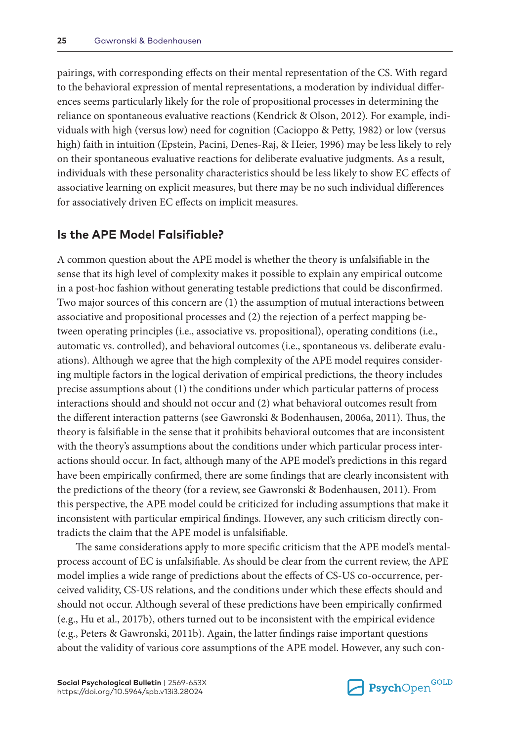pairings, with corresponding effects on their mental representation of the CS. With regard to the behavioral expression of mental representations, a moderation by individual differences seems particularly likely for the role of propositional processes in determining the reliance on spontaneous evaluative reactions (Kendrick & Olson, 2012). For example, individuals with high (versus low) need for cognition (Cacioppo & Petty, 1982) or low (versus high) faith in intuition (Epstein, Pacini, Denes-Raj, & Heier, 1996) may be less likely to rely on their spontaneous evaluative reactions for deliberate evaluative judgments. As a result, individuals with these personality characteristics should be less likely to show EC effects of associative learning on explicit measures, but there may be no such individual differences for associatively driven EC effects on implicit measures.

## **Is the APE Model Falsifiable?**

A common question about the APE model is whether the theory is unfalsifiable in the sense that its high level of complexity makes it possible to explain any empirical outcome in a post-hoc fashion without generating testable predictions that could be disconfirmed. Two major sources of this concern are (1) the assumption of mutual interactions between associative and propositional processes and (2) the rejection of a perfect mapping between operating principles (i.e., associative vs. propositional), operating conditions (i.e., automatic vs. controlled), and behavioral outcomes (i.e., spontaneous vs. deliberate evaluations). Although we agree that the high complexity of the APE model requires considering multiple factors in the logical derivation of empirical predictions, the theory includes precise assumptions about (1) the conditions under which particular patterns of process interactions should and should not occur and (2) what behavioral outcomes result from the different interaction patterns (see Gawronski & Bodenhausen, 2006a, 2011). Thus, the theory is falsifiable in the sense that it prohibits behavioral outcomes that are inconsistent with the theory's assumptions about the conditions under which particular process interactions should occur. In fact, although many of the APE model's predictions in this regard have been empirically confirmed, there are some findings that are clearly inconsistent with the predictions of the theory (for a review, see Gawronski & Bodenhausen, 2011). From this perspective, the APE model could be criticized for including assumptions that make it inconsistent with particular empirical findings. However, any such criticism directly contradicts the claim that the APE model is unfalsifiable.

The same considerations apply to more specific criticism that the APE model's mentalprocess account of EC is unfalsifiable. As should be clear from the current review, the APE model implies a wide range of predictions about the effects of CS-US co-occurrence, perceived validity, CS-US relations, and the conditions under which these effects should and should not occur. Although several of these predictions have been empirically confirmed (e.g., Hu et al., 2017b), others turned out to be inconsistent with the empirical evidence (e.g., Peters & Gawronski, 2011b). Again, the latter findings raise important questions about the validity of various core assumptions of the APE model. However, any such con-

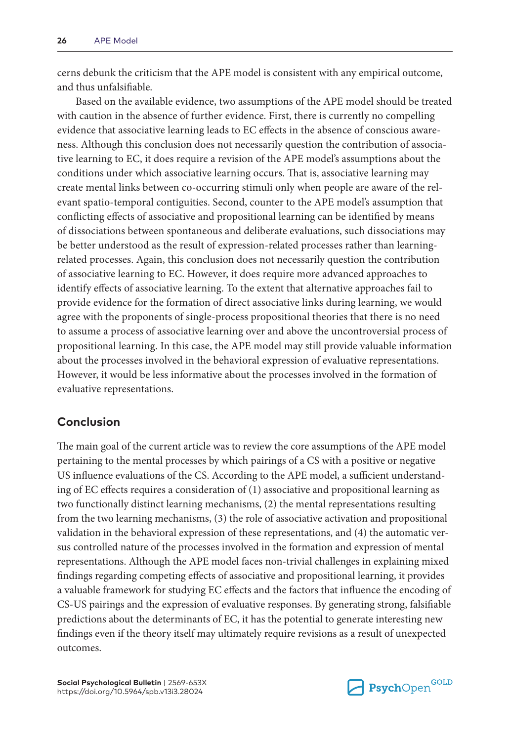cerns debunk the criticism that the APE model is consistent with any empirical outcome, and thus unfalsifiable.

Based on the available evidence, two assumptions of the APE model should be treated with caution in the absence of further evidence. First, there is currently no compelling evidence that associative learning leads to EC effects in the absence of conscious awareness. Although this conclusion does not necessarily question the contribution of associative learning to EC, it does require a revision of the APE model's assumptions about the conditions under which associative learning occurs. That is, associative learning may create mental links between co-occurring stimuli only when people are aware of the relevant spatio-temporal contiguities. Second, counter to the APE model's assumption that conflicting effects of associative and propositional learning can be identified by means of dissociations between spontaneous and deliberate evaluations, such dissociations may be better understood as the result of expression-related processes rather than learningrelated processes. Again, this conclusion does not necessarily question the contribution of associative learning to EC. However, it does require more advanced approaches to identify effects of associative learning. To the extent that alternative approaches fail to provide evidence for the formation of direct associative links during learning, we would agree with the proponents of single-process propositional theories that there is no need to assume a process of associative learning over and above the uncontroversial process of propositional learning. In this case, the APE model may still provide valuable information about the processes involved in the behavioral expression of evaluative representations. However, it would be less informative about the processes involved in the formation of evaluative representations.

# **Conclusion**

The main goal of the current article was to review the core assumptions of the APE model pertaining to the mental processes by which pairings of a CS with a positive or negative US influence evaluations of the CS. According to the APE model, a sufficient understanding of EC effects requires a consideration of (1) associative and propositional learning as two functionally distinct learning mechanisms, (2) the mental representations resulting from the two learning mechanisms, (3) the role of associative activation and propositional validation in the behavioral expression of these representations, and (4) the automatic versus controlled nature of the processes involved in the formation and expression of mental representations. Although the APE model faces non-trivial challenges in explaining mixed findings regarding competing effects of associative and propositional learning, it provides a valuable framework for studying EC effects and the factors that influence the encoding of CS-US pairings and the expression of evaluative responses. By generating strong, falsifiable predictions about the determinants of EC, it has the potential to generate interesting new findings even if the theory itself may ultimately require revisions as a result of unexpected outcomes.

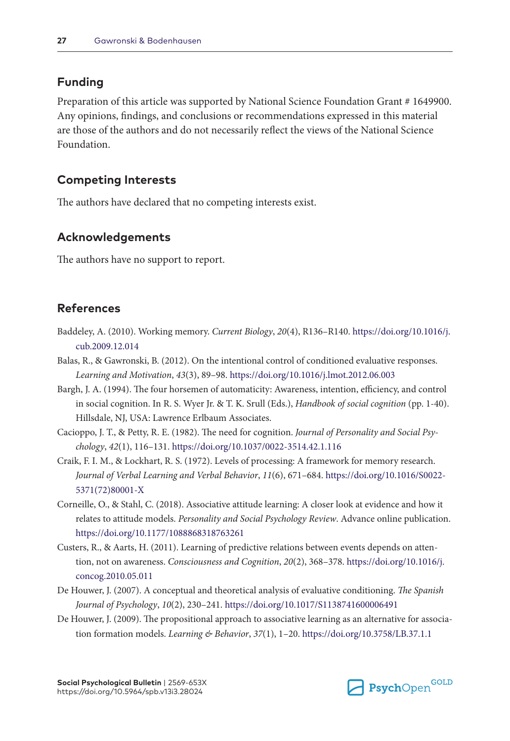# **Funding**

Preparation of this article was supported by National Science Foundation Grant # 1649900. Any opinions, findings, and conclusions or recommendations expressed in this material are those of the authors and do not necessarily reflect the views of the National Science Foundation.

## **Competing Interests**

The authors have declared that no competing interests exist.

## **Acknowledgements**

The authors have no support to report.

## **References**

- Baddeley, A. (2010). Working memory. *Current Biology*, *20*(4), R136–R140. [https://doi.org/10.1016/j.](https://doi.org/10.1016/j.cub.2009.12.014) [cub.2009.12.014](https://doi.org/10.1016/j.cub.2009.12.014)
- Balas, R., & Gawronski, B. (2012). On the intentional control of conditioned evaluative responses. *Learning and Motivation*, *43*(3), 89–98. <https://doi.org/10.1016/j.lmot.2012.06.003>
- Bargh, J. A. (1994). The four horsemen of automaticity: Awareness, intention, efficiency, and control in social cognition. In R. S. Wyer Jr. & T. K. Srull (Eds.), *Handbook of social cognition* (pp. 1-40). Hillsdale, NJ, USA: Lawrence Erlbaum Associates.
- Cacioppo, J. T., & Petty, R. E. (1982). The need for cognition. *Journal of Personality and Social Psychology*, *42*(1), 116–131. <https://doi.org/10.1037/0022-3514.42.1.116>
- Craik, F. I. M., & Lockhart, R. S. (1972). Levels of processing: A framework for memory research. *Journal of Verbal Learning and Verbal Behavior*, *11*(6), 671–684. [https://doi.org/10.1016/S0022-](https://doi.org/10.1016/S0022-5371(72)80001-X) [5371\(72\)80001-X](https://doi.org/10.1016/S0022-5371(72)80001-X)
- Corneille, O., & Stahl, C. (2018). Associative attitude learning: A closer look at evidence and how it relates to attitude models. *Personality and Social Psychology Review*. Advance online publication. <https://doi.org/10.1177/1088868318763261>
- Custers, R., & Aarts, H. (2011). Learning of predictive relations between events depends on attention, not on awareness. *Consciousness and Cognition*, *20*(2), 368–378. [https://doi.org/10.1016/j.](https://doi.org/10.1016/j.concog.2010.05.011) [concog.2010.05.011](https://doi.org/10.1016/j.concog.2010.05.011)
- De Houwer, J. (2007). A conceptual and theoretical analysis of evaluative conditioning. *The Spanish Journal of Psychology*, *10*(2), 230–241.<https://doi.org/10.1017/S1138741600006491>
- De Houwer, J. (2009). The propositional approach to associative learning as an alternative for association formation models. *Learning & Behavior*, *37*(1), 1–20.<https://doi.org/10.3758/LB.37.1.1>

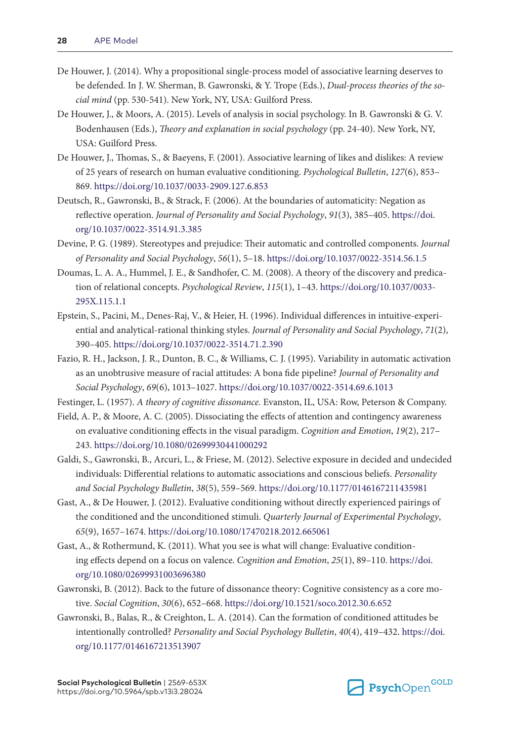- De Houwer, J. (2014). Why a propositional single-process model of associative learning deserves to be defended. In J. W. Sherman, B. Gawronski, & Y. Trope (Eds.), *Dual-process theories of the social mind* (pp. 530-541). New York, NY, USA: Guilford Press.
- De Houwer, J., & Moors, A. (2015). Levels of analysis in social psychology. In B. Gawronski & G. V. Bodenhausen (Eds.), *Theory and explanation in social psychology* (pp. 24-40). New York, NY, USA: Guilford Press.
- De Houwer, J., Thomas, S., & Baeyens, F. (2001). Associative learning of likes and dislikes: A review of 25 years of research on human evaluative conditioning. *Psychological Bulletin*, *127*(6), 853– 869. <https://doi.org/10.1037/0033-2909.127.6.853>
- Deutsch, R., Gawronski, B., & Strack, F. (2006). At the boundaries of automaticity: Negation as reflective operation. *Journal of Personality and Social Psychology*, *91*(3), 385–405. [https://doi.](https://doi.org/10.1037/0022-3514.91.3.385) [org/10.1037/0022-3514.91.3.385](https://doi.org/10.1037/0022-3514.91.3.385)
- Devine, P. G. (1989). Stereotypes and prejudice: Their automatic and controlled components. *Journal of Personality and Social Psychology*, *56*(1), 5–18. <https://doi.org/10.1037/0022-3514.56.1.5>
- Doumas, L. A. A., Hummel, J. E., & Sandhofer, C. M. (2008). A theory of the discovery and predication of relational concepts. *Psychological Review*, *115*(1), 1–43. [https://doi.org/10.1037/0033-](https://doi.org/10.1037/0033-295X.115.1.1) [295X.115.1.1](https://doi.org/10.1037/0033-295X.115.1.1)
- Epstein, S., Pacini, M., Denes-Raj, V., & Heier, H. (1996). Individual differences in intuitive-experiential and analytical-rational thinking styles. *Journal of Personality and Social Psychology*, *71*(2), 390–405.<https://doi.org/10.1037/0022-3514.71.2.390>
- Fazio, R. H., Jackson, J. R., Dunton, B. C., & Williams, C. J. (1995). Variability in automatic activation as an unobtrusive measure of racial attitudes: A bona fide pipeline? *Journal of Personality and Social Psychology*, *69*(6), 1013–1027.<https://doi.org/10.1037/0022-3514.69.6.1013>

Festinger, L. (1957). *A theory of cognitive dissonance.* Evanston, IL, USA: Row, Peterson & Company.

- Field, A. P., & Moore, A. C. (2005). Dissociating the effects of attention and contingency awareness on evaluative conditioning effects in the visual paradigm. *Cognition and Emotion*, *19*(2), 217– 243. <https://doi.org/10.1080/02699930441000292>
- Galdi, S., Gawronski, B., Arcuri, L., & Friese, M. (2012). Selective exposure in decided and undecided individuals: Differential relations to automatic associations and conscious beliefs. *Personality and Social Psychology Bulletin*, *38*(5), 559–569. <https://doi.org/10.1177/0146167211435981>
- Gast, A., & De Houwer, J. (2012). Evaluative conditioning without directly experienced pairings of the conditioned and the unconditioned stimuli. *Quarterly Journal of Experimental Psychology*, *65*(9), 1657–1674.<https://doi.org/10.1080/17470218.2012.665061>
- Gast, A., & Rothermund, K. (2011). What you see is what will change: Evaluative conditioning effects depend on a focus on valence. *Cognition and Emotion*, *25*(1), 89–110. [https://doi.](https://doi.org/10.1080/02699931003696380) [org/10.1080/02699931003696380](https://doi.org/10.1080/02699931003696380)
- Gawronski, B. (2012). Back to the future of dissonance theory: Cognitive consistency as a core motive. *Social Cognition*, *30*(6), 652–668.<https://doi.org/10.1521/soco.2012.30.6.652>
- Gawronski, B., Balas, R., & Creighton, L. A. (2014). Can the formation of conditioned attitudes be intentionally controlled? *Personality and Social Psychology Bulletin*, *40*(4), 419–432. [https://doi.](https://doi.org/10.1177/0146167213513907) [org/10.1177/0146167213513907](https://doi.org/10.1177/0146167213513907)

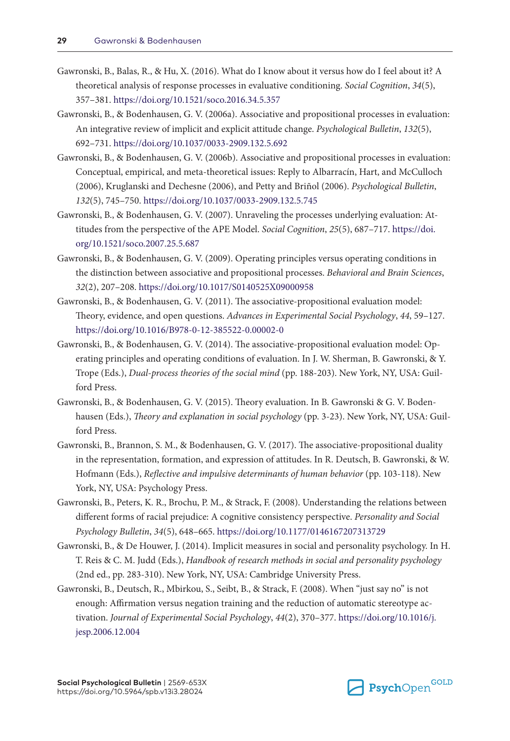- Gawronski, B., Balas, R., & Hu, X. (2016). What do I know about it versus how do I feel about it? A theoretical analysis of response processes in evaluative conditioning. *Social Cognition*, *34*(5), 357–381.<https://doi.org/10.1521/soco.2016.34.5.357>
- Gawronski, B., & Bodenhausen, G. V. (2006a). Associative and propositional processes in evaluation: An integrative review of implicit and explicit attitude change. *Psychological Bulletin*, *132*(5), 692–731.<https://doi.org/10.1037/0033-2909.132.5.692>
- Gawronski, B., & Bodenhausen, G. V. (2006b). Associative and propositional processes in evaluation: Conceptual, empirical, and meta-theoretical issues: Reply to Albarracín, Hart, and McCulloch (2006), Kruglanski and Dechesne (2006), and Petty and Briñol (2006). *Psychological Bulletin*, *132*(5), 745–750. <https://doi.org/10.1037/0033-2909.132.5.745>
- Gawronski, B., & Bodenhausen, G. V. (2007). Unraveling the processes underlying evaluation: Attitudes from the perspective of the APE Model. *Social Cognition*, *25*(5), 687–717. [https://doi.](https://doi.org/10.1521/soco.2007.25.5.687) [org/10.1521/soco.2007.25.5.687](https://doi.org/10.1521/soco.2007.25.5.687)
- Gawronski, B., & Bodenhausen, G. V. (2009). Operating principles versus operating conditions in the distinction between associative and propositional processes. *Behavioral and Brain Sciences*, *32*(2), 207–208.<https://doi.org/10.1017/S0140525X09000958>
- Gawronski, B., & Bodenhausen, G. V. (2011). The associative-propositional evaluation model: Theory, evidence, and open questions. *Advances in Experimental Social Psychology*, *44*, 59–127. <https://doi.org/10.1016/B978-0-12-385522-0.00002-0>
- Gawronski, B., & Bodenhausen, G. V. (2014). The associative-propositional evaluation model: Operating principles and operating conditions of evaluation. In J. W. Sherman, B. Gawronski, & Y. Trope (Eds.), *Dual-process theories of the social mind* (pp. 188-203). New York, NY, USA: Guilford Press.
- Gawronski, B., & Bodenhausen, G. V. (2015). Theory evaluation. In B. Gawronski & G. V. Bodenhausen (Eds.), *Theory and explanation in social psychology* (pp. 3-23). New York, NY, USA: Guilford Press.
- Gawronski, B., Brannon, S. M., & Bodenhausen, G. V. (2017). The associative-propositional duality in the representation, formation, and expression of attitudes. In R. Deutsch, B. Gawronski, & W. Hofmann (Eds.), *Reflective and impulsive determinants of human behavior* (pp. 103-118). New York, NY, USA: Psychology Press.
- Gawronski, B., Peters, K. R., Brochu, P. M., & Strack, F. (2008). Understanding the relations between different forms of racial prejudice: A cognitive consistency perspective. *Personality and Social Psychology Bulletin*, *34*(5), 648–665.<https://doi.org/10.1177/0146167207313729>
- Gawronski, B., & De Houwer, J. (2014). Implicit measures in social and personality psychology. In H. T. Reis & C. M. Judd (Eds.), *Handbook of research methods in social and personality psychology* (2nd ed., pp. 283-310). New York, NY, USA: Cambridge University Press.
- Gawronski, B., Deutsch, R., Mbirkou, S., Seibt, B., & Strack, F. (2008). When "just say no" is not enough: Affirmation versus negation training and the reduction of automatic stereotype activation. *Journal of Experimental Social Psychology*, *44*(2), 370–377. [https://doi.org/10.1016/j.](https://doi.org/10.1016/j.jesp.2006.12.004) [jesp.2006.12.004](https://doi.org/10.1016/j.jesp.2006.12.004)

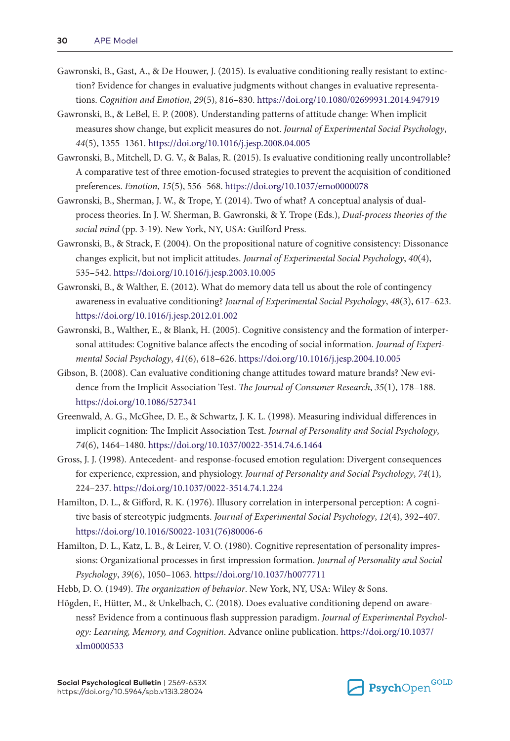- Gawronski, B., Gast, A., & De Houwer, J. (2015). Is evaluative conditioning really resistant to extinction? Evidence for changes in evaluative judgments without changes in evaluative representations. *Cognition and Emotion*, *29*(5), 816–830. <https://doi.org/10.1080/02699931.2014.947919>
- Gawronski, B., & LeBel, E. P. (2008). Understanding patterns of attitude change: When implicit measures show change, but explicit measures do not. *Journal of Experimental Social Psychology*, *44*(5), 1355–1361.<https://doi.org/10.1016/j.jesp.2008.04.005>
- Gawronski, B., Mitchell, D. G. V., & Balas, R. (2015). Is evaluative conditioning really uncontrollable? A comparative test of three emotion-focused strategies to prevent the acquisition of conditioned preferences. *Emotion*, *15*(5), 556–568. <https://doi.org/10.1037/emo0000078>
- Gawronski, B., Sherman, J. W., & Trope, Y. (2014). Two of what? A conceptual analysis of dualprocess theories. In J. W. Sherman, B. Gawronski, & Y. Trope (Eds.), *Dual-process theories of the social mind* (pp. 3-19). New York, NY, USA: Guilford Press.
- Gawronski, B., & Strack, F. (2004). On the propositional nature of cognitive consistency: Dissonance changes explicit, but not implicit attitudes. *Journal of Experimental Social Psychology*, *40*(4), 535–542.<https://doi.org/10.1016/j.jesp.2003.10.005>
- Gawronski, B., & Walther, E. (2012). What do memory data tell us about the role of contingency awareness in evaluative conditioning? *Journal of Experimental Social Psychology*, *48*(3), 617–623. <https://doi.org/10.1016/j.jesp.2012.01.002>
- Gawronski, B., Walther, E., & Blank, H. (2005). Cognitive consistency and the formation of interpersonal attitudes: Cognitive balance affects the encoding of social information. *Journal of Experimental Social Psychology*, *41*(6), 618–626.<https://doi.org/10.1016/j.jesp.2004.10.005>
- Gibson, B. (2008). Can evaluative conditioning change attitudes toward mature brands? New evidence from the Implicit Association Test. *The Journal of Consumer Research*, *35*(1), 178–188. <https://doi.org/10.1086/527341>
- Greenwald, A. G., McGhee, D. E., & Schwartz, J. K. L. (1998). Measuring individual differences in implicit cognition: The Implicit Association Test. *Journal of Personality and Social Psychology*, *74*(6), 1464–1480.<https://doi.org/10.1037/0022-3514.74.6.1464>
- Gross, J. J. (1998). Antecedent- and response-focused emotion regulation: Divergent consequences for experience, expression, and physiology. *Journal of Personality and Social Psychology*, *74*(1), 224–237.<https://doi.org/10.1037/0022-3514.74.1.224>
- Hamilton, D. L., & Gifford, R. K. (1976). Illusory correlation in interpersonal perception: A cognitive basis of stereotypic judgments. *Journal of Experimental Social Psychology*, *12*(4), 392–407. [https://doi.org/10.1016/S0022-1031\(76\)80006-6](https://doi.org/10.1016/S0022-1031(76)80006-6)
- Hamilton, D. L., Katz, L. B., & Leirer, V. O. (1980). Cognitive representation of personality impressions: Organizational processes in first impression formation. *Journal of Personality and Social Psychology*, *39*(6), 1050–1063.<https://doi.org/10.1037/h0077711>
- Hebb, D. O. (1949). *The organization of behavior*. New York, NY, USA: Wiley & Sons.
- Högden, F., Hütter, M., & Unkelbach, C. (2018). Does evaluative conditioning depend on awareness? Evidence from a continuous flash suppression paradigm. *Journal of Experimental Psychology: Learning, Memory, and Cognition*. Advance online publication. [https://doi.org/10.1037/](https://doi.org/10.1037/xlm0000533) [xlm0000533](https://doi.org/10.1037/xlm0000533)

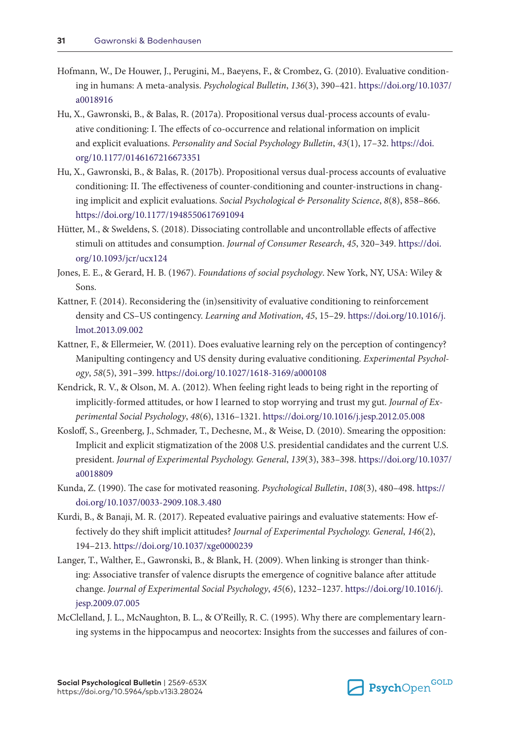- Hofmann, W., De Houwer, J., Perugini, M., Baeyens, F., & Crombez, G. (2010). Evaluative conditioning in humans: A meta-analysis. *Psychological Bulletin*, *136*(3), 390–421. [https://doi.org/10.1037/](https://doi.org/10.1037/a0018916) [a0018916](https://doi.org/10.1037/a0018916)
- Hu, X., Gawronski, B., & Balas, R. (2017a). Propositional versus dual-process accounts of evaluative conditioning: I. The effects of co-occurrence and relational information on implicit and explicit evaluations. *Personality and Social Psychology Bulletin*, *43*(1), 17–32. [https://doi.](https://doi.org/10.1177/0146167216673351) [org/10.1177/0146167216673351](https://doi.org/10.1177/0146167216673351)
- Hu, X., Gawronski, B., & Balas, R. (2017b). Propositional versus dual-process accounts of evaluative conditioning: II. The effectiveness of counter-conditioning and counter-instructions in changing implicit and explicit evaluations. *Social Psychological & Personality Science*, *8*(8), 858–866. <https://doi.org/10.1177/1948550617691094>
- Hütter, M., & Sweldens, S. (2018). Dissociating controllable and uncontrollable effects of affective stimuli on attitudes and consumption. *Journal of Consumer Research*, *45*, 320–349. [https://doi.](https://doi.org/10.1093/jcr/ucx124) [org/10.1093/jcr/ucx124](https://doi.org/10.1093/jcr/ucx124)
- Jones, E. E., & Gerard, H. B. (1967). *Foundations of social psychology*. New York, NY, USA: Wiley & Sons.
- Kattner, F. (2014). Reconsidering the (in)sensitivity of evaluative conditioning to reinforcement density and CS–US contingency. *Learning and Motivation*, *45*, 15–29. [https://doi.org/10.1016/j.](https://doi.org/10.1016/j.lmot.2013.09.002) [lmot.2013.09.002](https://doi.org/10.1016/j.lmot.2013.09.002)
- Kattner, F., & Ellermeier, W. (2011). Does evaluative learning rely on the perception of contingency? Manipulting contingency and US density during evaluative conditioning. *Experimental Psychology*, *58*(5), 391–399. <https://doi.org/10.1027/1618-3169/a000108>
- Kendrick, R. V., & Olson, M. A. (2012). When feeling right leads to being right in the reporting of implicitly-formed attitudes, or how I learned to stop worrying and trust my gut. *Journal of Experimental Social Psychology*, *48*(6), 1316–1321.<https://doi.org/10.1016/j.jesp.2012.05.008>
- Kosloff, S., Greenberg, J., Schmader, T., Dechesne, M., & Weise, D. (2010). Smearing the opposition: Implicit and explicit stigmatization of the 2008 U.S. presidential candidates and the current U.S. president. *Journal of Experimental Psychology. General*, *139*(3), 383–398. [https://doi.org/10.1037/](https://doi.org/10.1037/a0018809) [a0018809](https://doi.org/10.1037/a0018809)
- Kunda, Z. (1990). The case for motivated reasoning. *Psychological Bulletin*, *108*(3), 480–498. [https://](https://doi.org/10.1037/0033-2909.108.3.480) [doi.org/10.1037/0033-2909.108.3.480](https://doi.org/10.1037/0033-2909.108.3.480)
- Kurdi, B., & Banaji, M. R. (2017). Repeated evaluative pairings and evaluative statements: How effectively do they shift implicit attitudes? *Journal of Experimental Psychology. General*, *146*(2), 194–213.<https://doi.org/10.1037/xge0000239>
- Langer, T., Walther, E., Gawronski, B., & Blank, H. (2009). When linking is stronger than thinking: Associative transfer of valence disrupts the emergence of cognitive balance after attitude change. *Journal of Experimental Social Psychology*, *45*(6), 1232–1237. [https://doi.org/10.1016/j.](https://doi.org/10.1016/j.jesp.2009.07.005) [jesp.2009.07.005](https://doi.org/10.1016/j.jesp.2009.07.005)
- McClelland, J. L., McNaughton, B. L., & O'Reilly, R. C. (1995). Why there are complementary learning systems in the hippocampus and neocortex: Insights from the successes and failures of con-

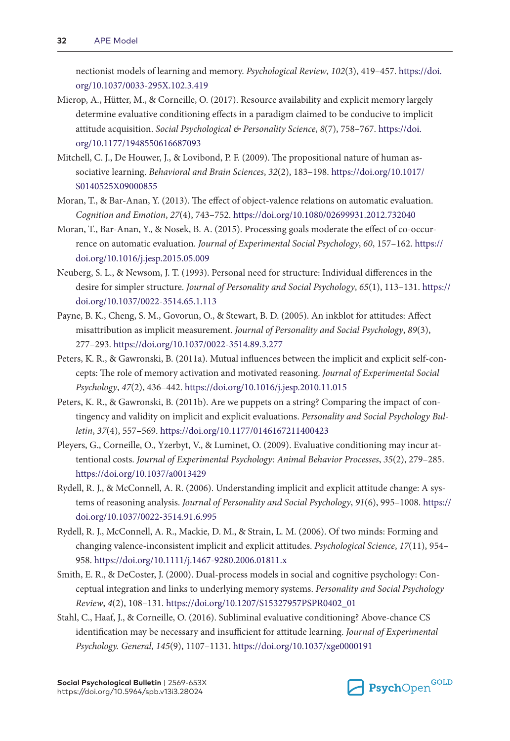nectionist models of learning and memory. *Psychological Review*, *102*(3), 419–457. [https://doi.](https://doi.org/10.1037/0033-295X.102.3.419) [org/10.1037/0033-295X.102.3.419](https://doi.org/10.1037/0033-295X.102.3.419)

- Mierop, A., Hütter, M., & Corneille, O. (2017). Resource availability and explicit memory largely determine evaluative conditioning effects in a paradigm claimed to be conducive to implicit attitude acquisition. *Social Psychological & Personality Science*, *8*(7), 758–767. [https://doi.](https://doi.org/10.1177/1948550616687093) [org/10.1177/1948550616687093](https://doi.org/10.1177/1948550616687093)
- Mitchell, C. J., De Houwer, J., & Lovibond, P. F. (2009). The propositional nature of human associative learning. *Behavioral and Brain Sciences*, *32*(2), 183–198. [https://doi.org/10.1017/](https://doi.org/10.1017/S0140525X09000855) [S0140525X09000855](https://doi.org/10.1017/S0140525X09000855)
- Moran, T., & Bar-Anan, Y. (2013). The effect of object-valence relations on automatic evaluation. *Cognition and Emotion*, *27*(4), 743–752.<https://doi.org/10.1080/02699931.2012.732040>
- Moran, T., Bar-Anan, Y., & Nosek, B. A. (2015). Processing goals moderate the effect of co-occurrence on automatic evaluation. *Journal of Experimental Social Psychology*, *60*, 157–162. [https://](https://doi.org/10.1016/j.jesp.2015.05.009) [doi.org/10.1016/j.jesp.2015.05.009](https://doi.org/10.1016/j.jesp.2015.05.009)
- Neuberg, S. L., & Newsom, J. T. (1993). Personal need for structure: Individual differences in the desire for simpler structure. *Journal of Personality and Social Psychology*, *65*(1), 113–131. [https://](https://doi.org/10.1037/0022-3514.65.1.113) [doi.org/10.1037/0022-3514.65.1.113](https://doi.org/10.1037/0022-3514.65.1.113)
- Payne, B. K., Cheng, S. M., Govorun, O., & Stewart, B. D. (2005). An inkblot for attitudes: Affect misattribution as implicit measurement. *Journal of Personality and Social Psychology*, *89*(3), 277–293.<https://doi.org/10.1037/0022-3514.89.3.277>
- Peters, K. R., & Gawronski, B. (2011a). Mutual influences between the implicit and explicit self-concepts: The role of memory activation and motivated reasoning. *Journal of Experimental Social Psychology*, *47*(2), 436–442. <https://doi.org/10.1016/j.jesp.2010.11.015>
- Peters, K. R., & Gawronski, B. (2011b). Are we puppets on a string? Comparing the impact of contingency and validity on implicit and explicit evaluations. *Personality and Social Psychology Bulletin*, *37*(4), 557–569.<https://doi.org/10.1177/0146167211400423>
- Pleyers, G., Corneille, O., Yzerbyt, V., & Luminet, O. (2009). Evaluative conditioning may incur attentional costs. *Journal of Experimental Psychology: Animal Behavior Processes*, *35*(2), 279–285. <https://doi.org/10.1037/a0013429>
- Rydell, R. J., & McConnell, A. R. (2006). Understanding implicit and explicit attitude change: A systems of reasoning analysis. *Journal of Personality and Social Psychology*, *91*(6), 995–1008. [https://](https://doi.org/10.1037/0022-3514.91.6.995) [doi.org/10.1037/0022-3514.91.6.995](https://doi.org/10.1037/0022-3514.91.6.995)
- Rydell, R. J., McConnell, A. R., Mackie, D. M., & Strain, L. M. (2006). Of two minds: Forming and changing valence-inconsistent implicit and explicit attitudes. *Psychological Science*, *17*(11), 954– 958. <https://doi.org/10.1111/j.1467-9280.2006.01811.x>
- Smith, E. R., & DeCoster, J. (2000). Dual-process models in social and cognitive psychology: Conceptual integration and links to underlying memory systems. *Personality and Social Psychology Review*, *4*(2), 108–131. [https://doi.org/10.1207/S15327957PSPR0402\\_01](https://doi.org/10.1207/S15327957PSPR0402_01)
- Stahl, C., Haaf, J., & Corneille, O. (2016). Subliminal evaluative conditioning? Above-chance CS identification may be necessary and insufficient for attitude learning. *Journal of Experimental Psychology. General*, *145*(9), 1107–1131. <https://doi.org/10.1037/xge0000191>